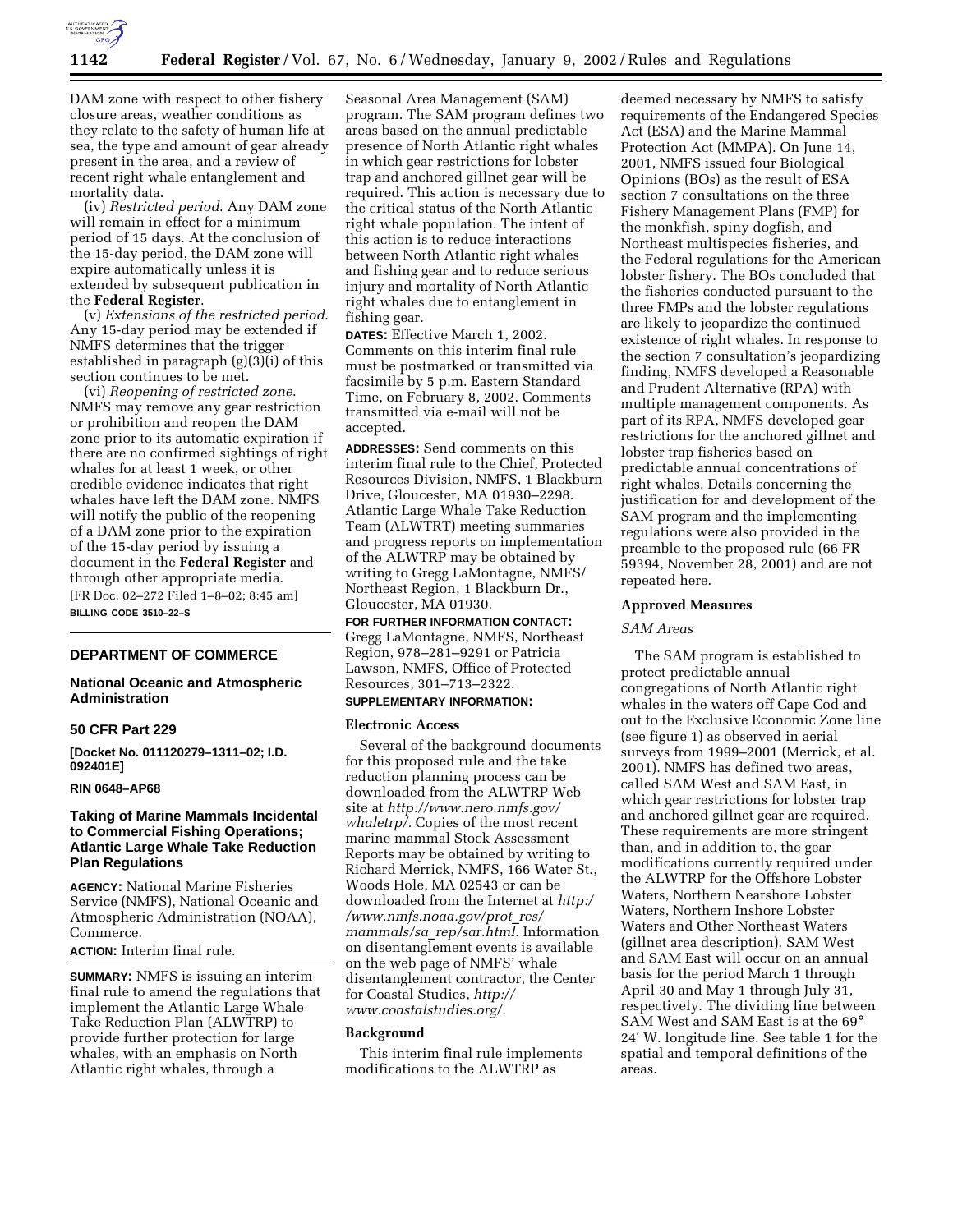

DAM zone with respect to other fishery closure areas, weather conditions as they relate to the safety of human life at sea, the type and amount of gear already present in the area, and a review of recent right whale entanglement and mortality data.

(iv) *Restricted period*. Any DAM zone will remain in effect for a minimum period of 15 days. At the conclusion of the 15-day period, the DAM zone will expire automatically unless it is extended by subsequent publication in the **Federal Register**.

(v) *Extensions of the restricted period*. Any 15-day period may be extended if NMFS determines that the trigger established in paragraph (g)(3)(i) of this section continues to be met.

(vi) *Reopening of restricted zone*. NMFS may remove any gear restriction or prohibition and reopen the DAM zone prior to its automatic expiration if there are no confirmed sightings of right whales for at least 1 week, or other credible evidence indicates that right whales have left the DAM zone. NMFS will notify the public of the reopening of a DAM zone prior to the expiration of the 15-day period by issuing a document in the **Federal Register** and through other appropriate media. [FR Doc. 02–272 Filed 1–8–02; 8:45 am] **BILLING CODE 3510–22–S**

# **DEPARTMENT OF COMMERCE**

# **National Oceanic and Atmospheric Administration**

#### **50 CFR Part 229**

**[Docket No. 011120279–1311–02; I.D. 092401E]**

## **RIN 0648–AP68**

# **Taking of Marine Mammals Incidental to Commercial Fishing Operations; Atlantic Large Whale Take Reduction Plan Regulations**

**AGENCY:** National Marine Fisheries Service (NMFS), National Oceanic and Atmospheric Administration (NOAA), Commerce.

**ACTION:** Interim final rule.

**SUMMARY:** NMFS is issuing an interim final rule to amend the regulations that implement the Atlantic Large Whale Take Reduction Plan (ALWTRP) to provide further protection for large whales, with an emphasis on North Atlantic right whales, through a

Seasonal Area Management (SAM) program. The SAM program defines two areas based on the annual predictable presence of North Atlantic right whales in which gear restrictions for lobster trap and anchored gillnet gear will be required. This action is necessary due to the critical status of the North Atlantic right whale population. The intent of this action is to reduce interactions between North Atlantic right whales and fishing gear and to reduce serious injury and mortality of North Atlantic right whales due to entanglement in fishing gear.

**DATES:** Effective March 1, 2002. Comments on this interim final rule must be postmarked or transmitted via facsimile by 5 p.m. Eastern Standard Time, on February 8, 2002. Comments transmitted via e-mail will not be accepted.

**ADDRESSES:** Send comments on this interim final rule to the Chief, Protected Resources Division, NMFS, 1 Blackburn Drive, Gloucester, MA 01930–2298. Atlantic Large Whale Take Reduction Team (ALWTRT) meeting summaries and progress reports on implementation of the ALWTRP may be obtained by writing to Gregg LaMontagne, NMFS/ Northeast Region, 1 Blackburn Dr., Gloucester, MA 01930.

**FOR FURTHER INFORMATION CONTACT:** Gregg LaMontagne, NMFS, Northeast Region, 978–281–9291 or Patricia Lawson, NMFS, Office of Protected Resources, 301–713–2322.

# **SUPPLEMENTARY INFORMATION:**

#### **Electronic Access**

Several of the background documents for this proposed rule and the take reduction planning process can be downloaded from the ALWTRP Web site at *http://www.nero.nmfs.gov/ whaletrp/.* Copies of the most recent marine mammal Stock Assessment Reports may be obtained by writing to Richard Merrick, NMFS, 166 Water St., Woods Hole, MA 02543 or can be downloaded from the Internet at *http:/ /www.nmfs.noaa.gov/prot*\_*res/ mammals/sa*\_*rep/sar.html.* Information on disentanglement events is available on the web page of NMFS' whale disentanglement contractor, the Center for Coastal Studies, *http:// www.coastalstudies.org/.*

#### **Background**

This interim final rule implements modifications to the ALWTRP as

deemed necessary by NMFS to satisfy requirements of the Endangered Species Act (ESA) and the Marine Mammal Protection Act (MMPA). On June 14, 2001, NMFS issued four Biological Opinions (BOs) as the result of ESA section 7 consultations on the three Fishery Management Plans (FMP) for the monkfish, spiny dogfish, and Northeast multispecies fisheries, and the Federal regulations for the American lobster fishery. The BOs concluded that the fisheries conducted pursuant to the three FMPs and the lobster regulations are likely to jeopardize the continued existence of right whales. In response to the section 7 consultation's jeopardizing finding, NMFS developed a Reasonable and Prudent Alternative (RPA) with multiple management components. As part of its RPA, NMFS developed gear restrictions for the anchored gillnet and lobster trap fisheries based on predictable annual concentrations of right whales. Details concerning the justification for and development of the SAM program and the implementing regulations were also provided in the preamble to the proposed rule (66 FR 59394, November 28, 2001) and are not repeated here.

#### **Approved Measures**

## *SAM Areas*

The SAM program is established to protect predictable annual congregations of North Atlantic right whales in the waters off Cape Cod and out to the Exclusive Economic Zone line (see figure 1) as observed in aerial surveys from 1999–2001 (Merrick, et al. 2001). NMFS has defined two areas, called SAM West and SAM East, in which gear restrictions for lobster trap and anchored gillnet gear are required. These requirements are more stringent than, and in addition to, the gear modifications currently required under the ALWTRP for the Offshore Lobster Waters, Northern Nearshore Lobster Waters, Northern Inshore Lobster Waters and Other Northeast Waters (gillnet area description). SAM West and SAM East will occur on an annual basis for the period March 1 through April 30 and May 1 through July 31, respectively. The dividing line between SAM West and SAM East is at the 69° 24′ W. longitude line. See table 1 for the spatial and temporal definitions of the areas.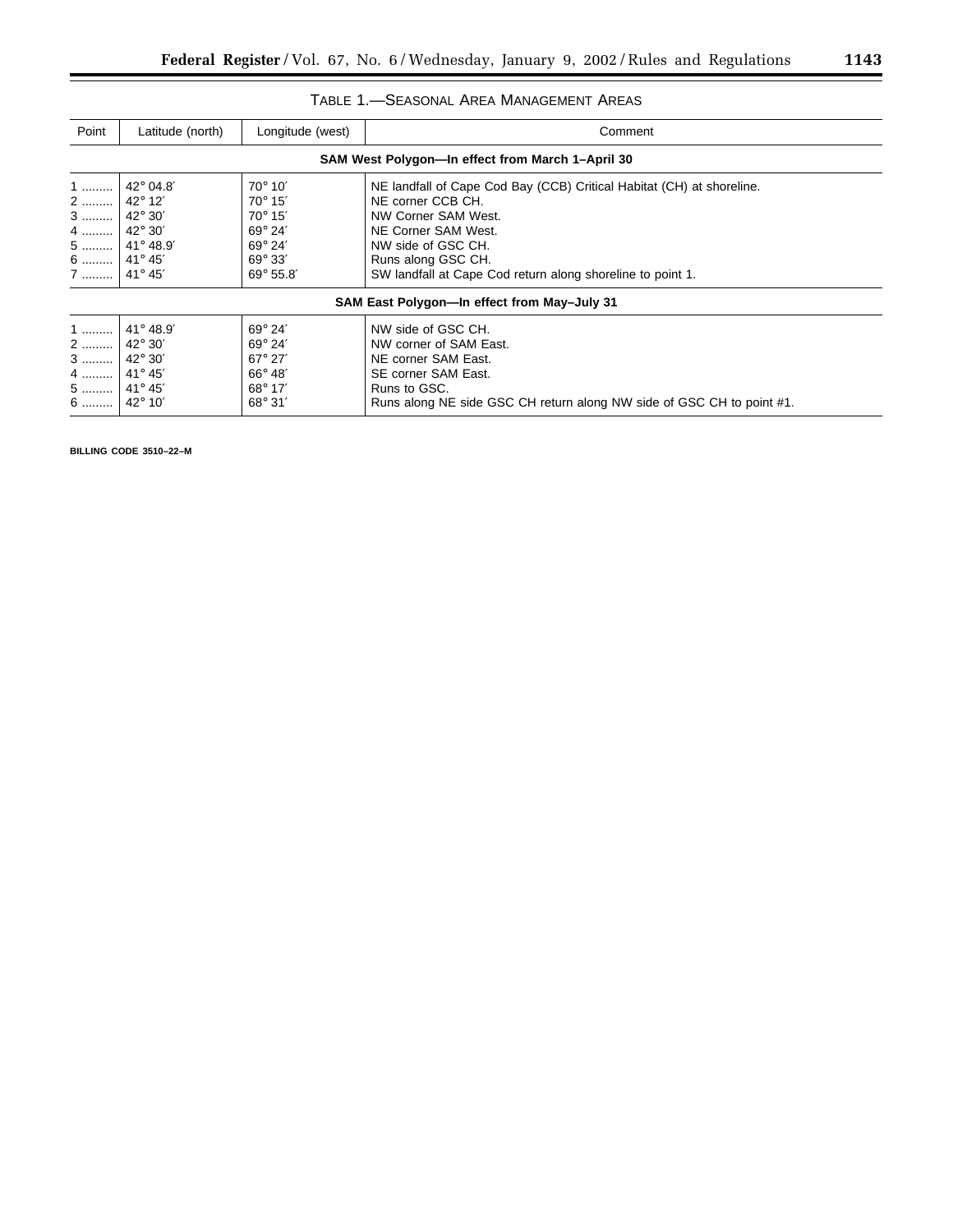| Point                                                           | Latitude (north)                         | Longitude (west)                                                                                             | Comment                                                                                                                                                                             |  |  |  |  |
|-----------------------------------------------------------------|------------------------------------------|--------------------------------------------------------------------------------------------------------------|-------------------------------------------------------------------------------------------------------------------------------------------------------------------------------------|--|--|--|--|
| SAM West Polygon—In effect from March 1-April 30                |                                          |                                                                                                              |                                                                                                                                                                                     |  |  |  |  |
| 1                                                               | $42^{\circ}$ 04.8'                       | $70^\circ 10'$                                                                                               | NE landfall of Cape Cod Bay (CCB) Critical Habitat (CH) at shoreline.<br>NE corner CCB CH.                                                                                          |  |  |  |  |
| 2    42° 12'<br>3                                               | $42^{\circ}30'$                          | $70^{\circ} 15'$<br>$70^{\circ} 15'$                                                                         | NW Corner SAM West.                                                                                                                                                                 |  |  |  |  |
| 4   <br>5                                                       | $42^{\circ}30'$<br>41° 48.9'             | $69^\circ 24'$<br>$69^\circ 24'$                                                                             | NE Corner SAM West.<br>NW side of GSC CH.                                                                                                                                           |  |  |  |  |
| 6    41° 45'                                                    |                                          | $69^{\circ} 33'$                                                                                             | Runs along GSC CH.                                                                                                                                                                  |  |  |  |  |
| 7    41° 45'                                                    |                                          | $69^{\circ} 55.8'$                                                                                           | SW landfall at Cape Cod return along shoreline to point 1.                                                                                                                          |  |  |  |  |
| SAM East Polygon—In effect from May-July 31                     |                                          |                                                                                                              |                                                                                                                                                                                     |  |  |  |  |
| 1<br>2<br>$3$  <br>4    41° 45'<br>5    41° 45'<br>6    42° 10' | 41° 48.9'<br>42° 30'<br>$42^{\circ}$ 30' | $69^\circ 24'$<br>$69^\circ 24'$<br>$67^{\circ}$ 27'<br>$66^\circ 48'$<br>$68^\circ 17'$<br>$68^{\circ} 31'$ | NW side of GSC CH.<br>NW corner of SAM East.<br>NE corner SAM East.<br>SE corner SAM East.<br>Runs to GSC.<br>Runs along NE side GSC CH return along NW side of GSC CH to point #1. |  |  |  |  |

**BILLING CODE 3510–22–M**

 $\equiv$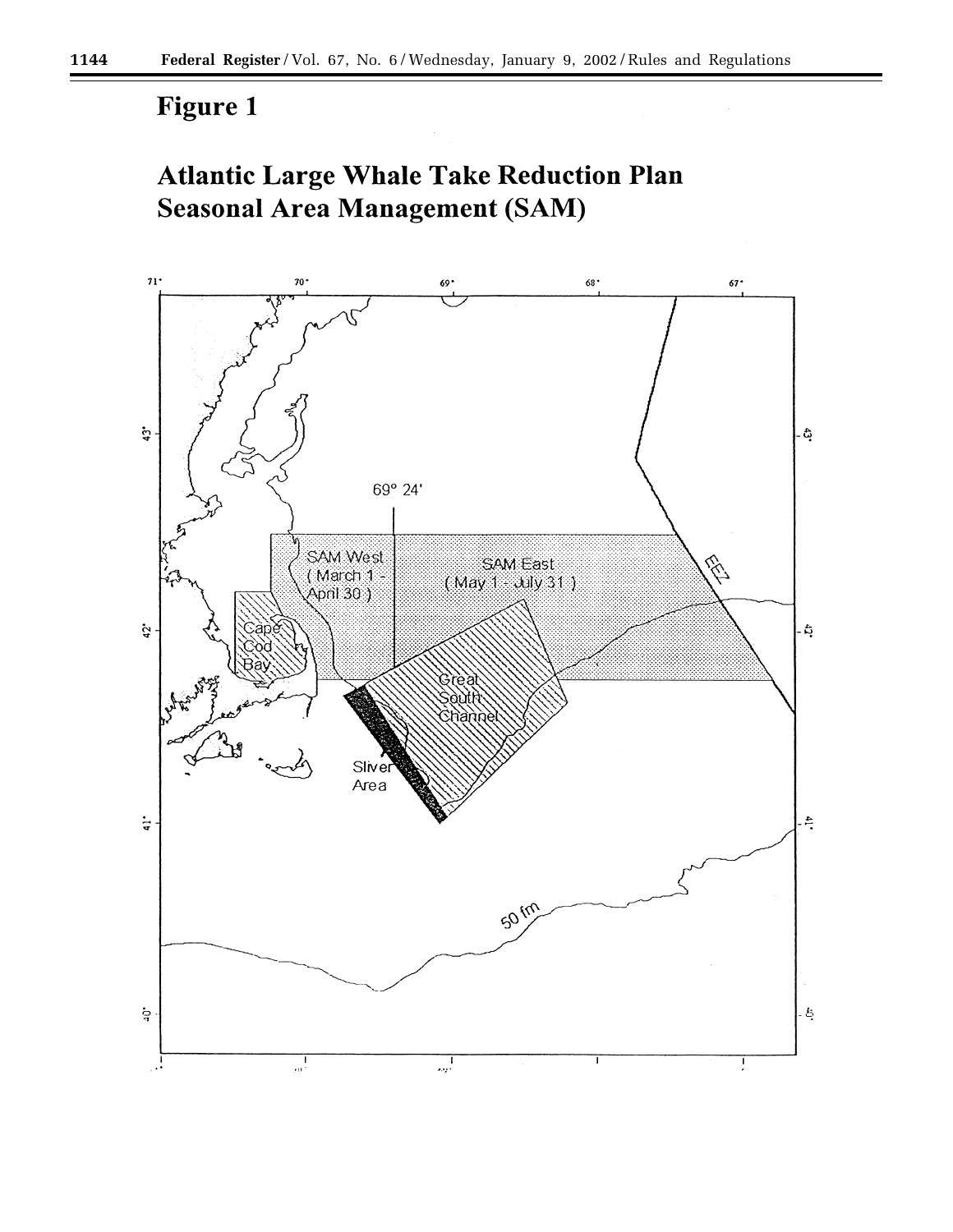# **Figure 1**

# **Atlantic Large Whale Take Reduction Plan Seasonal Area Management (SAM)**

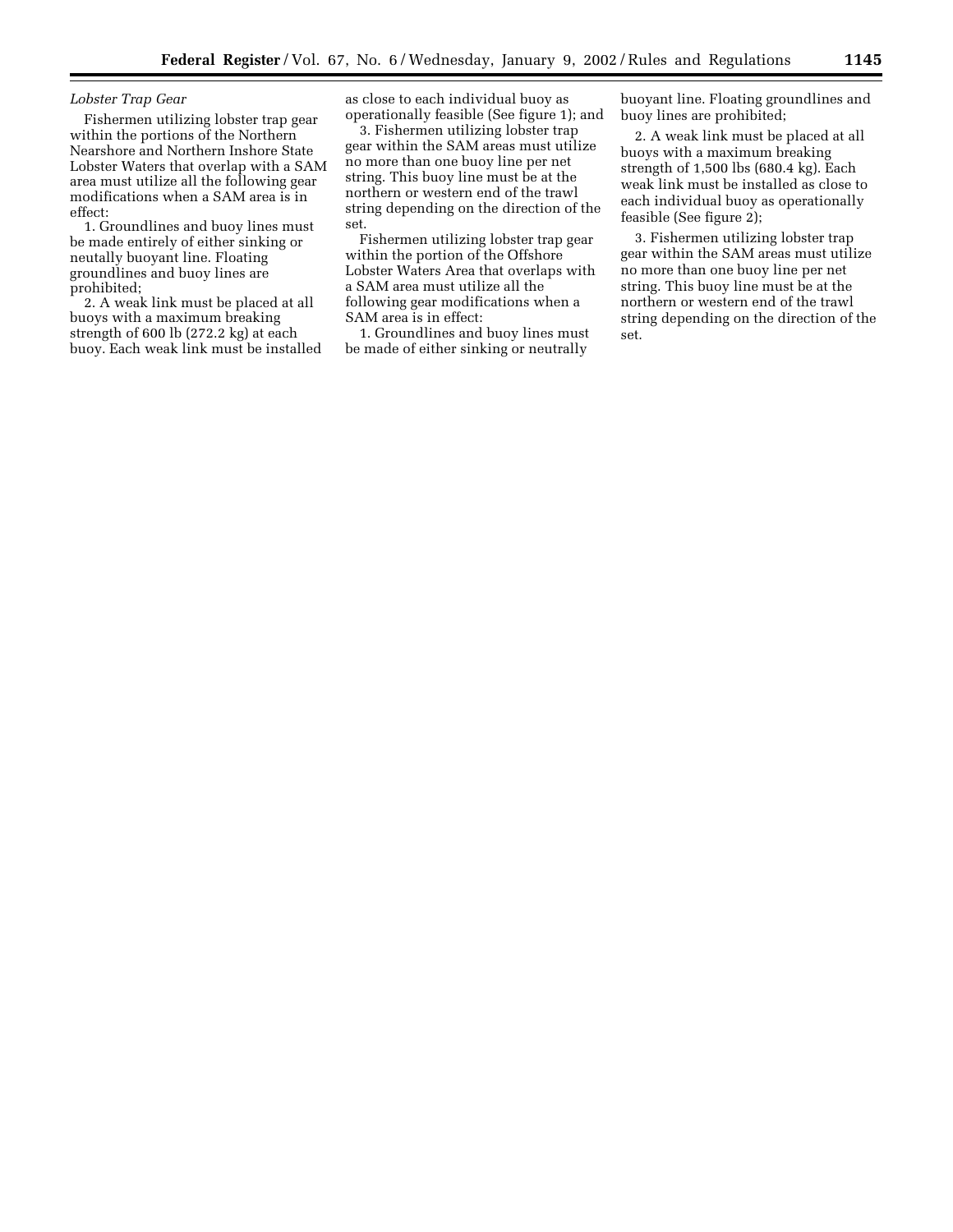## *Lobster Trap Gear*

Fishermen utilizing lobster trap gear within the portions of the Northern Nearshore and Northern Inshore State Lobster Waters that overlap with a SAM area must utilize all the following gear modifications when a SAM area is in effect:

1. Groundlines and buoy lines must be made entirely of either sinking or neutally buoyant line. Floating groundlines and buoy lines are prohibited;

2. A weak link must be placed at all buoys with a maximum breaking strength of 600 lb (272.2 kg) at each buoy. Each weak link must be installed as close to each individual buoy as operationally feasible (See figure 1); and

3. Fishermen utilizing lobster trap gear within the SAM areas must utilize no more than one buoy line per net string. This buoy line must be at the northern or western end of the trawl string depending on the direction of the set.

Fishermen utilizing lobster trap gear within the portion of the Offshore Lobster Waters Area that overlaps with a SAM area must utilize all the following gear modifications when a SAM area is in effect:

1. Groundlines and buoy lines must be made of either sinking or neutrally

buoyant line. Floating groundlines and buoy lines are prohibited;

2. A weak link must be placed at all buoys with a maximum breaking strength of 1,500 lbs (680.4 kg). Each weak link must be installed as close to each individual buoy as operationally feasible (See figure 2);

3. Fishermen utilizing lobster trap gear within the SAM areas must utilize no more than one buoy line per net string. This buoy line must be at the northern or western end of the trawl string depending on the direction of the set.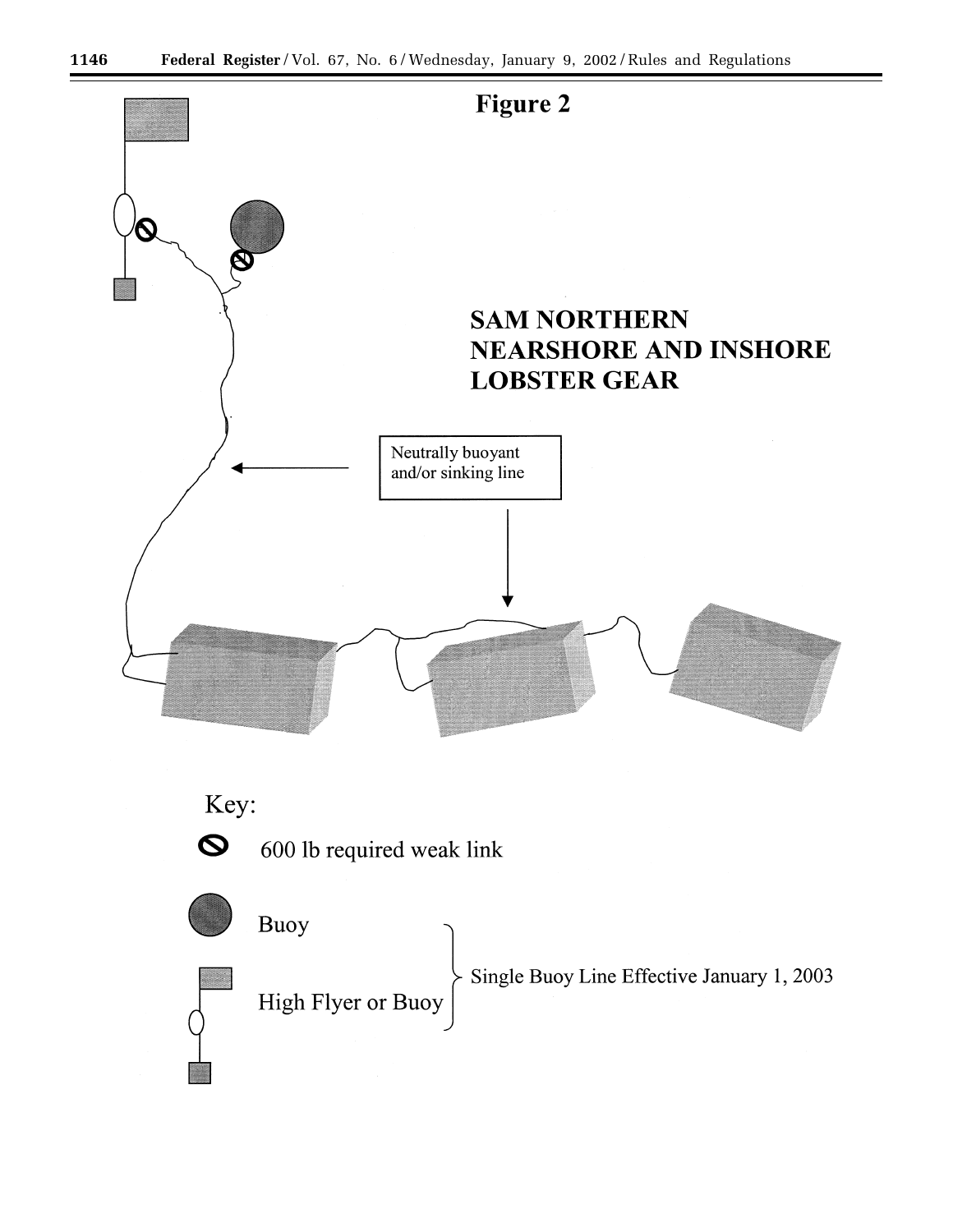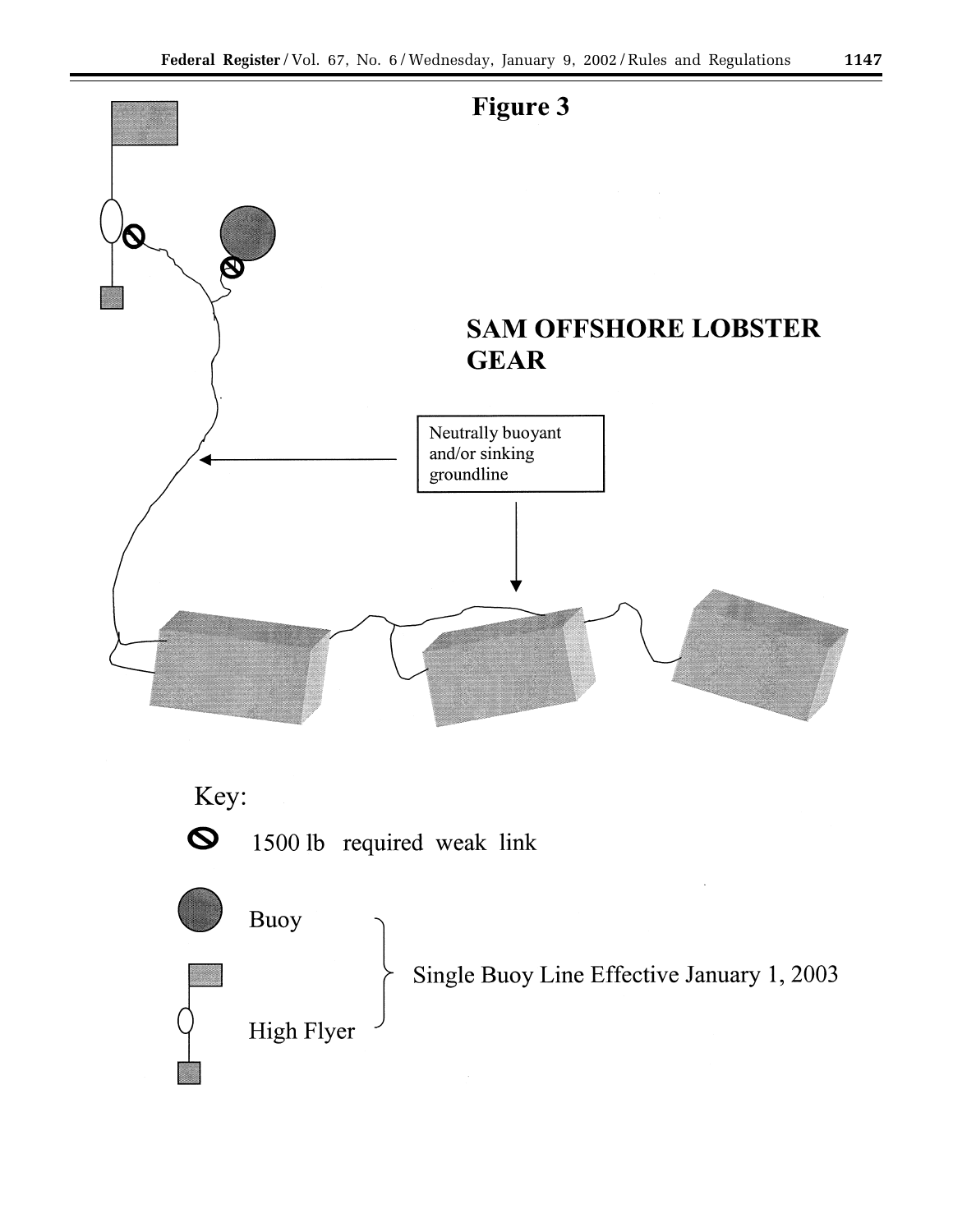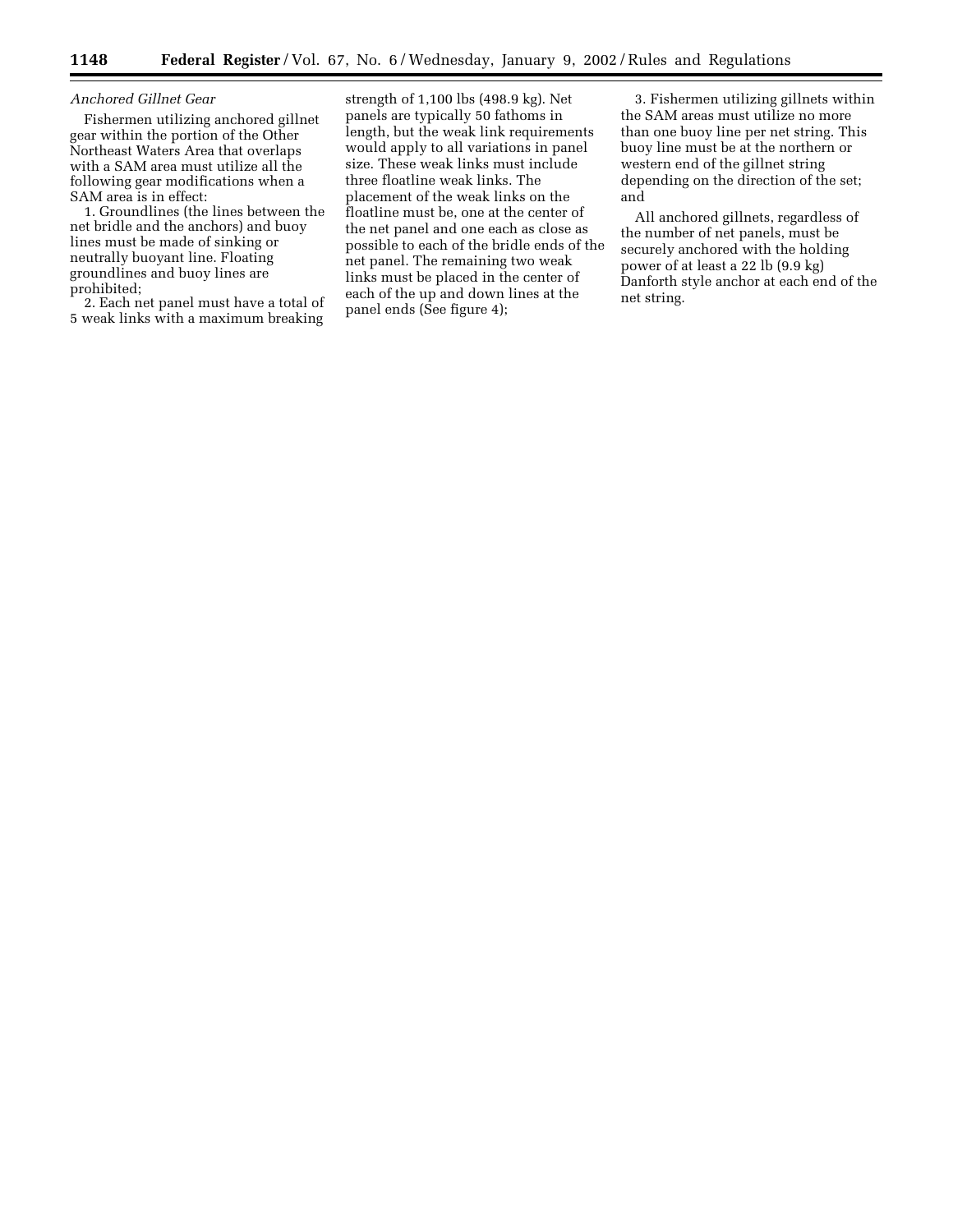## *Anchored Gillnet Gear*

Fishermen utilizing anchored gillnet gear within the portion of the Other Northeast Waters Area that overlaps with a SAM area must utilize all the following gear modifications when a SAM area is in effect:

1. Groundlines (the lines between the net bridle and the anchors) and buoy lines must be made of sinking or neutrally buoyant line. Floating groundlines and buoy lines are prohibited;

2. Each net panel must have a total of 5 weak links with a maximum breaking

strength of 1,100 lbs (498.9 kg). Net panels are typically 50 fathoms in length, but the weak link requirements would apply to all variations in panel size. These weak links must include three floatline weak links. The placement of the weak links on the floatline must be, one at the center of the net panel and one each as close as possible to each of the bridle ends of the net panel. The remaining two weak links must be placed in the center of each of the up and down lines at the panel ends (See figure 4);

3. Fishermen utilizing gillnets within the SAM areas must utilize no more than one buoy line per net string. This buoy line must be at the northern or western end of the gillnet string depending on the direction of the set; and

All anchored gillnets, regardless of the number of net panels, must be securely anchored with the holding power of at least a 22 lb (9.9 kg) Danforth style anchor at each end of the net string.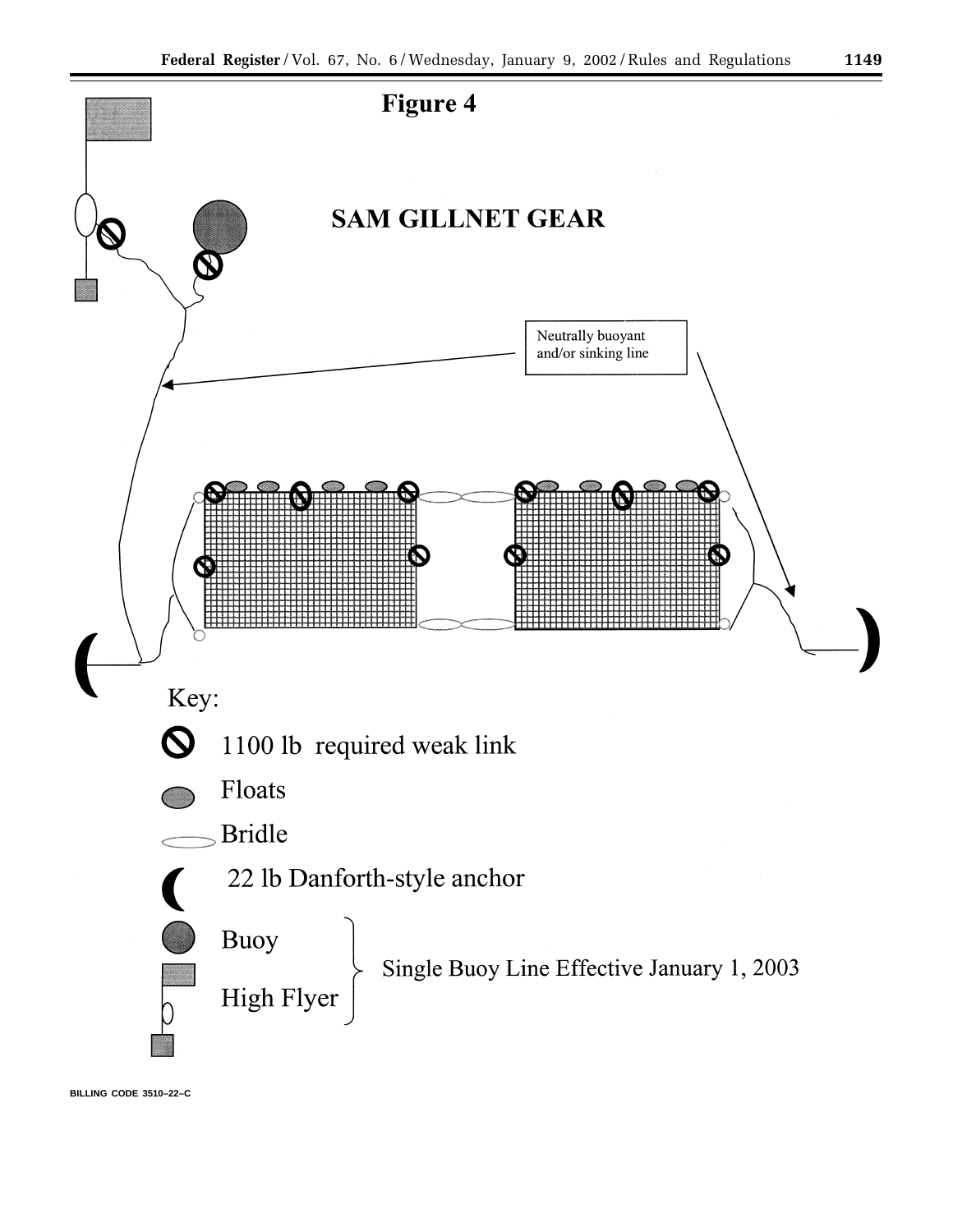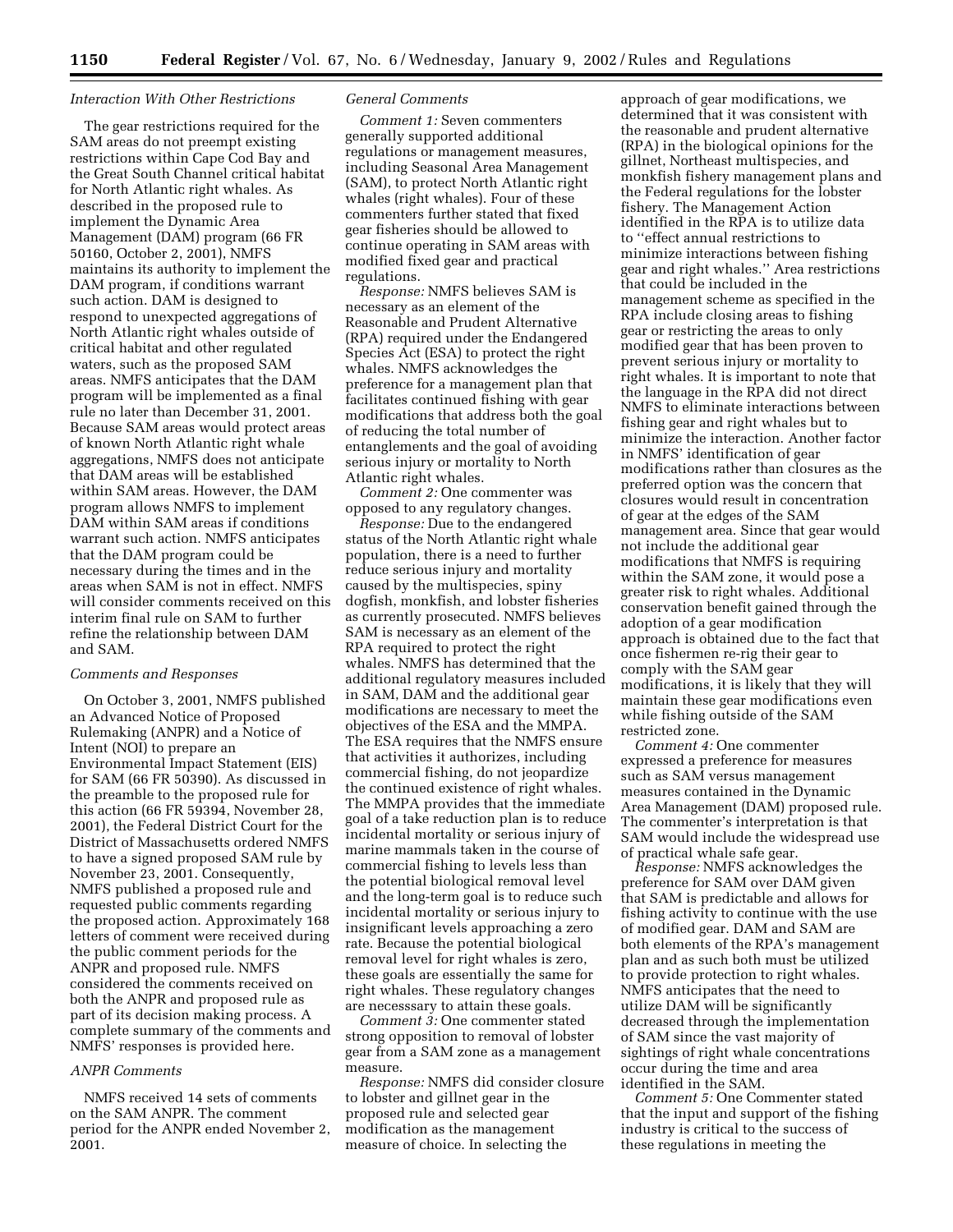### *Interaction With Other Restrictions*

The gear restrictions required for the SAM areas do not preempt existing restrictions within Cape Cod Bay and the Great South Channel critical habitat for North Atlantic right whales. As described in the proposed rule to implement the Dynamic Area Management (DAM) program (66 FR 50160, October 2, 2001), NMFS maintains its authority to implement the DAM program, if conditions warrant such action. DAM is designed to respond to unexpected aggregations of North Atlantic right whales outside of critical habitat and other regulated waters, such as the proposed SAM areas. NMFS anticipates that the DAM program will be implemented as a final rule no later than December 31, 2001. Because SAM areas would protect areas of known North Atlantic right whale aggregations, NMFS does not anticipate that DAM areas will be established within SAM areas. However, the DAM program allows NMFS to implement DAM within SAM areas if conditions warrant such action. NMFS anticipates that the DAM program could be necessary during the times and in the areas when SAM is not in effect. NMFS will consider comments received on this interim final rule on SAM to further refine the relationship between DAM and SAM.

## *Comments and Responses*

On October 3, 2001, NMFS published an Advanced Notice of Proposed Rulemaking (ANPR) and a Notice of Intent (NOI) to prepare an Environmental Impact Statement (EIS) for SAM (66 FR 50390). As discussed in the preamble to the proposed rule for this action (66 FR 59394, November 28, 2001), the Federal District Court for the District of Massachusetts ordered NMFS to have a signed proposed SAM rule by November 23, 2001. Consequently, NMFS published a proposed rule and requested public comments regarding the proposed action. Approximately 168 letters of comment were received during the public comment periods for the ANPR and proposed rule. NMFS considered the comments received on both the ANPR and proposed rule as part of its decision making process. A complete summary of the comments and NMFS' responses is provided here.

# *ANPR Comments*

NMFS received 14 sets of comments on the SAM ANPR. The comment period for the ANPR ended November 2, 2001.

#### *General Comments*

*Comment 1:* Seven commenters generally supported additional regulations or management measures, including Seasonal Area Management (SAM), to protect North Atlantic right whales (right whales). Four of these commenters further stated that fixed gear fisheries should be allowed to continue operating in SAM areas with modified fixed gear and practical regulations.

*Response:* NMFS believes SAM is necessary as an element of the Reasonable and Prudent Alternative (RPA) required under the Endangered Species Act (ESA) to protect the right whales. NMFS acknowledges the preference for a management plan that facilitates continued fishing with gear modifications that address both the goal of reducing the total number of entanglements and the goal of avoiding serious injury or mortality to North Atlantic right whales.

*Comment 2:* One commenter was opposed to any regulatory changes.

*Response:* Due to the endangered status of the North Atlantic right whale population, there is a need to further reduce serious injury and mortality caused by the multispecies, spiny dogfish, monkfish, and lobster fisheries as currently prosecuted. NMFS believes SAM is necessary as an element of the RPA required to protect the right whales. NMFS has determined that the additional regulatory measures included in SAM, DAM and the additional gear modifications are necessary to meet the objectives of the ESA and the MMPA. The ESA requires that the NMFS ensure that activities it authorizes, including commercial fishing, do not jeopardize the continued existence of right whales. The MMPA provides that the immediate goal of a take reduction plan is to reduce incidental mortality or serious injury of marine mammals taken in the course of commercial fishing to levels less than the potential biological removal level and the long-term goal is to reduce such incidental mortality or serious injury to insignificant levels approaching a zero rate. Because the potential biological removal level for right whales is zero, these goals are essentially the same for right whales. These regulatory changes are necesssary to attain these goals.

*Comment 3:* One commenter stated strong opposition to removal of lobster gear from a SAM zone as a management measure.

*Response:* NMFS did consider closure to lobster and gillnet gear in the proposed rule and selected gear modification as the management measure of choice. In selecting the

approach of gear modifications, we determined that it was consistent with the reasonable and prudent alternative (RPA) in the biological opinions for the gillnet, Northeast multispecies, and monkfish fishery management plans and the Federal regulations for the lobster fishery. The Management Action identified in the RPA is to utilize data to ''effect annual restrictions to minimize interactions between fishing gear and right whales.'' Area restrictions that could be included in the management scheme as specified in the RPA include closing areas to fishing gear or restricting the areas to only modified gear that has been proven to prevent serious injury or mortality to right whales. It is important to note that the language in the RPA did not direct NMFS to eliminate interactions between fishing gear and right whales but to minimize the interaction. Another factor in NMFS' identification of gear modifications rather than closures as the preferred option was the concern that closures would result in concentration of gear at the edges of the SAM management area. Since that gear would not include the additional gear modifications that NMFS is requiring within the SAM zone, it would pose a greater risk to right whales. Additional conservation benefit gained through the adoption of a gear modification approach is obtained due to the fact that once fishermen re-rig their gear to comply with the SAM gear modifications, it is likely that they will maintain these gear modifications even while fishing outside of the SAM restricted zone.

*Comment 4:* One commenter expressed a preference for measures such as SAM versus management measures contained in the Dynamic Area Management (DAM) proposed rule. The commenter's interpretation is that SAM would include the widespread use of practical whale safe gear.

*Response:* NMFS acknowledges the preference for SAM over DAM given that SAM is predictable and allows for fishing activity to continue with the use of modified gear. DAM and SAM are both elements of the RPA's management plan and as such both must be utilized to provide protection to right whales. NMFS anticipates that the need to utilize DAM will be significantly decreased through the implementation of SAM since the vast majority of sightings of right whale concentrations occur during the time and area identified in the SAM.

*Comment 5:* One Commenter stated that the input and support of the fishing industry is critical to the success of these regulations in meeting the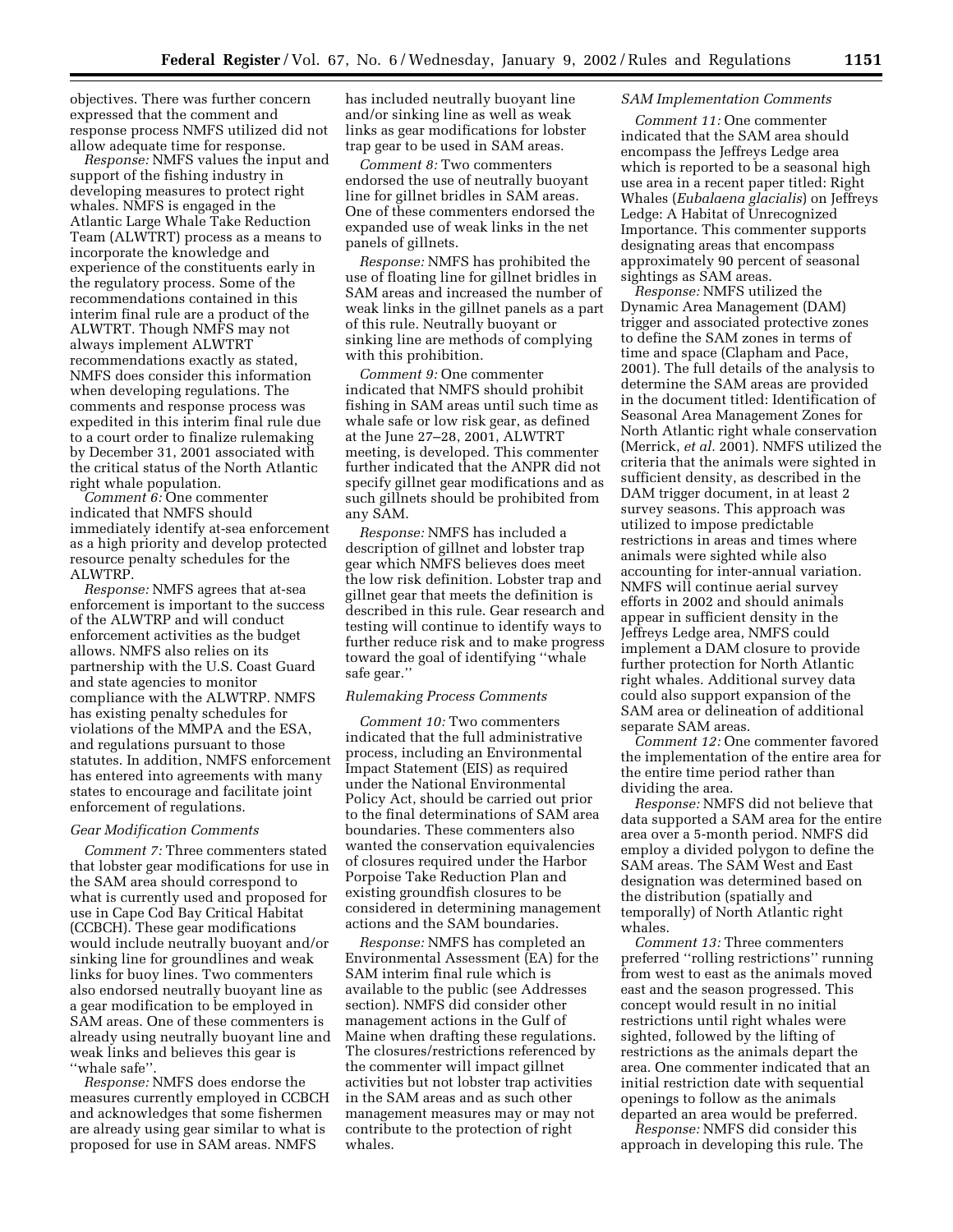objectives. There was further concern expressed that the comment and response process NMFS utilized did not allow adequate time for response.

*Response:* NMFS values the input and support of the fishing industry in developing measures to protect right whales. NMFS is engaged in the Atlantic Large Whale Take Reduction Team (ALWTRT) process as a means to incorporate the knowledge and experience of the constituents early in the regulatory process. Some of the recommendations contained in this interim final rule are a product of the ALWTRT. Though NMFS may not always implement ALWTRT recommendations exactly as stated, NMFS does consider this information when developing regulations. The comments and response process was expedited in this interim final rule due to a court order to finalize rulemaking by December 31, 2001 associated with the critical status of the North Atlantic right whale population.

*Comment 6:* One commenter indicated that NMFS should immediately identify at-sea enforcement as a high priority and develop protected resource penalty schedules for the ALWTRP.

*Response:* NMFS agrees that at-sea enforcement is important to the success of the ALWTRP and will conduct enforcement activities as the budget allows. NMFS also relies on its partnership with the U.S. Coast Guard and state agencies to monitor compliance with the ALWTRP. NMFS has existing penalty schedules for violations of the MMPA and the ESA, and regulations pursuant to those statutes. In addition, NMFS enforcement has entered into agreements with many states to encourage and facilitate joint enforcement of regulations.

## *Gear Modification Comments*

*Comment 7:* Three commenters stated that lobster gear modifications for use in the SAM area should correspond to what is currently used and proposed for use in Cape Cod Bay Critical Habitat (CCBCH). These gear modifications would include neutrally buoyant and/or sinking line for groundlines and weak links for buoy lines. Two commenters also endorsed neutrally buoyant line as a gear modification to be employed in SAM areas. One of these commenters is already using neutrally buoyant line and weak links and believes this gear is ''whale safe''.

*Response:* NMFS does endorse the measures currently employed in CCBCH and acknowledges that some fishermen are already using gear similar to what is proposed for use in SAM areas. NMFS

has included neutrally buoyant line and/or sinking line as well as weak links as gear modifications for lobster trap gear to be used in SAM areas.

*Comment 8:* Two commenters endorsed the use of neutrally buoyant line for gillnet bridles in SAM areas. One of these commenters endorsed the expanded use of weak links in the net panels of gillnets.

*Response:* NMFS has prohibited the use of floating line for gillnet bridles in SAM areas and increased the number of weak links in the gillnet panels as a part of this rule. Neutrally buoyant or sinking line are methods of complying with this prohibition.

*Comment 9:* One commenter indicated that NMFS should prohibit fishing in SAM areas until such time as whale safe or low risk gear, as defined at the June 27–28, 2001, ALWTRT meeting, is developed. This commenter further indicated that the ANPR did not specify gillnet gear modifications and as such gillnets should be prohibited from any SAM.

*Response:* NMFS has included a description of gillnet and lobster trap gear which NMFS believes does meet the low risk definition. Lobster trap and gillnet gear that meets the definition is described in this rule. Gear research and testing will continue to identify ways to further reduce risk and to make progress toward the goal of identifying ''whale safe gear.''

#### *Rulemaking Process Comments*

*Comment 10:* Two commenters indicated that the full administrative process, including an Environmental Impact Statement (EIS) as required under the National Environmental Policy Act, should be carried out prior to the final determinations of SAM area boundaries. These commenters also wanted the conservation equivalencies of closures required under the Harbor Porpoise Take Reduction Plan and existing groundfish closures to be considered in determining management actions and the SAM boundaries.

*Response:* NMFS has completed an Environmental Assessment (EA) for the SAM interim final rule which is available to the public (see Addresses section). NMFS did consider other management actions in the Gulf of Maine when drafting these regulations. The closures/restrictions referenced by the commenter will impact gillnet activities but not lobster trap activities in the SAM areas and as such other management measures may or may not contribute to the protection of right whales.

# *SAM Implementation Comments*

*Comment 11:* One commenter indicated that the SAM area should encompass the Jeffreys Ledge area which is reported to be a seasonal high use area in a recent paper titled: Right Whales (*Eubalaena glacialis*) on Jeffreys Ledge: A Habitat of Unrecognized Importance. This commenter supports designating areas that encompass approximately 90 percent of seasonal sightings as SAM areas.

*Response:* NMFS utilized the Dynamic Area Management (DAM) trigger and associated protective zones to define the SAM zones in terms of time and space (Clapham and Pace, 2001). The full details of the analysis to determine the SAM areas are provided in the document titled: Identification of Seasonal Area Management Zones for North Atlantic right whale conservation (Merrick, *et al.* 2001). NMFS utilized the criteria that the animals were sighted in sufficient density, as described in the DAM trigger document, in at least 2 survey seasons. This approach was utilized to impose predictable restrictions in areas and times where animals were sighted while also accounting for inter-annual variation. NMFS will continue aerial survey efforts in 2002 and should animals appear in sufficient density in the Jeffreys Ledge area, NMFS could implement a DAM closure to provide further protection for North Atlantic right whales. Additional survey data could also support expansion of the SAM area or delineation of additional separate SAM areas.

*Comment 12:* One commenter favored the implementation of the entire area for the entire time period rather than dividing the area.

*Response:* NMFS did not believe that data supported a SAM area for the entire area over a 5-month period. NMFS did employ a divided polygon to define the SAM areas. The SAM West and East designation was determined based on the distribution (spatially and temporally) of North Atlantic right whales.

*Comment 13:* Three commenters preferred ''rolling restrictions'' running from west to east as the animals moved east and the season progressed. This concept would result in no initial restrictions until right whales were sighted, followed by the lifting of restrictions as the animals depart the area. One commenter indicated that an initial restriction date with sequential openings to follow as the animals departed an area would be preferred.

*Response:* NMFS did consider this approach in developing this rule. The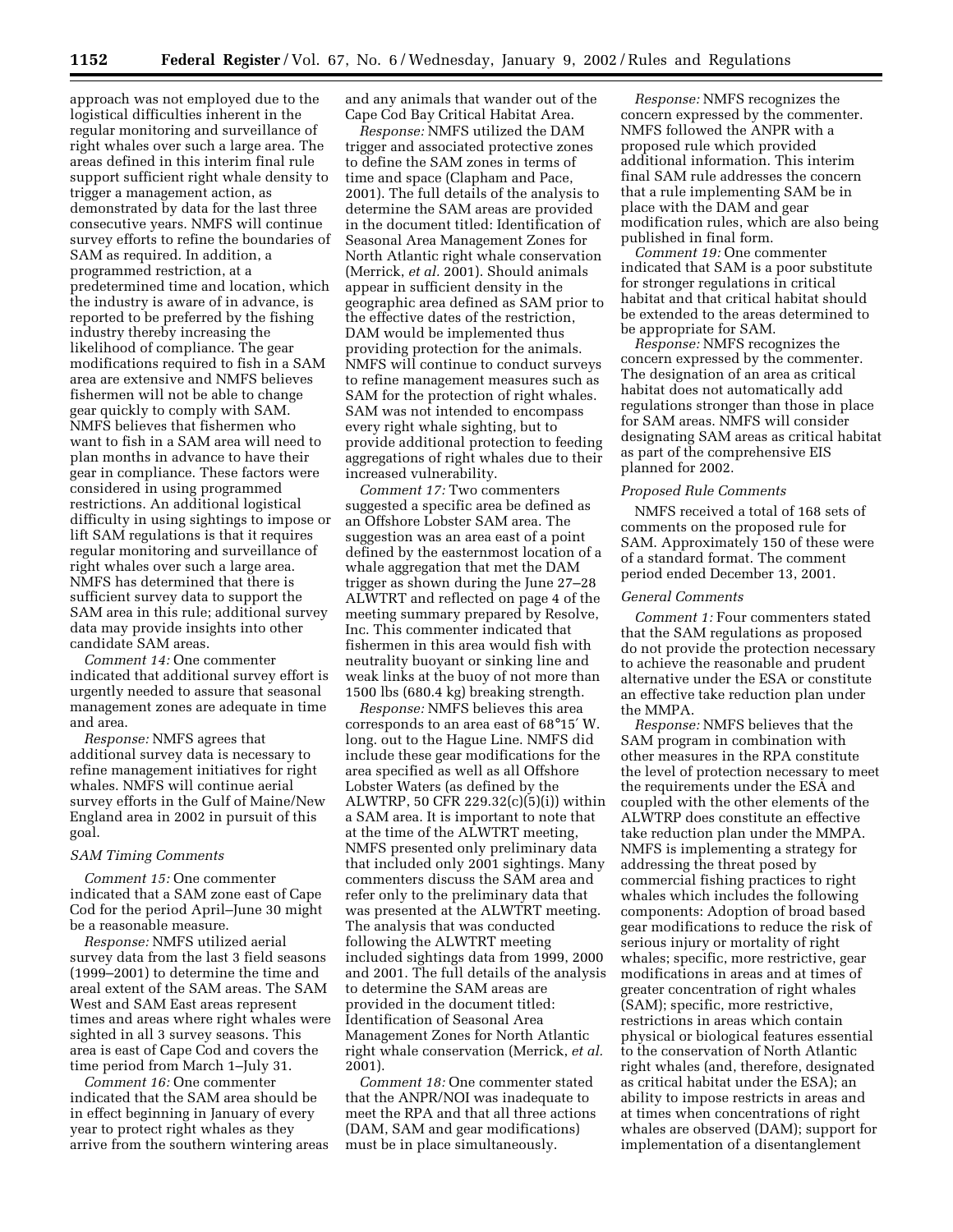approach was not employed due to the logistical difficulties inherent in the regular monitoring and surveillance of right whales over such a large area. The areas defined in this interim final rule support sufficient right whale density to trigger a management action, as demonstrated by data for the last three consecutive years. NMFS will continue survey efforts to refine the boundaries of SAM as required. In addition, a programmed restriction, at a predetermined time and location, which the industry is aware of in advance, is reported to be preferred by the fishing industry thereby increasing the likelihood of compliance. The gear modifications required to fish in a SAM area are extensive and NMFS believes fishermen will not be able to change gear quickly to comply with SAM. NMFS believes that fishermen who want to fish in a SAM area will need to plan months in advance to have their gear in compliance. These factors were considered in using programmed restrictions. An additional logistical difficulty in using sightings to impose or lift SAM regulations is that it requires regular monitoring and surveillance of right whales over such a large area. NMFS has determined that there is sufficient survey data to support the SAM area in this rule; additional survey data may provide insights into other candidate SAM areas.

*Comment 14:* One commenter indicated that additional survey effort is urgently needed to assure that seasonal management zones are adequate in time and area.

*Response:* NMFS agrees that additional survey data is necessary to refine management initiatives for right whales. NMFS will continue aerial survey efforts in the Gulf of Maine/New England area in 2002 in pursuit of this goal.

#### *SAM Timing Comments*

*Comment 15:* One commenter indicated that a SAM zone east of Cape Cod for the period April–June 30 might be a reasonable measure.

*Response:* NMFS utilized aerial survey data from the last 3 field seasons (1999–2001) to determine the time and areal extent of the SAM areas. The SAM West and SAM East areas represent times and areas where right whales were sighted in all 3 survey seasons. This area is east of Cape Cod and covers the time period from March 1–July 31.

*Comment 16:* One commenter indicated that the SAM area should be in effect beginning in January of every year to protect right whales as they arrive from the southern wintering areas and any animals that wander out of the Cape Cod Bay Critical Habitat Area.

*Response:* NMFS utilized the DAM trigger and associated protective zones to define the SAM zones in terms of time and space (Clapham and Pace, 2001). The full details of the analysis to determine the SAM areas are provided in the document titled: Identification of Seasonal Area Management Zones for North Atlantic right whale conservation (Merrick, *et al.* 2001). Should animals appear in sufficient density in the geographic area defined as SAM prior to the effective dates of the restriction, DAM would be implemented thus providing protection for the animals. NMFS will continue to conduct surveys to refine management measures such as SAM for the protection of right whales. SAM was not intended to encompass every right whale sighting, but to provide additional protection to feeding aggregations of right whales due to their increased vulnerability.

*Comment 17:* Two commenters suggested a specific area be defined as an Offshore Lobster SAM area. The suggestion was an area east of a point defined by the easternmost location of a whale aggregation that met the DAM trigger as shown during the June 27–28 ALWTRT and reflected on page 4 of the meeting summary prepared by Resolve, Inc. This commenter indicated that fishermen in this area would fish with neutrality buoyant or sinking line and weak links at the buoy of not more than 1500 lbs (680.4 kg) breaking strength.

*Response:* NMFS believes this area corresponds to an area east of 68°15′ W. long. out to the Hague Line. NMFS did include these gear modifications for the area specified as well as all Offshore Lobster Waters (as defined by the ALWTRP, 50 CFR 229.32(c)(5)(i)) within a SAM area. It is important to note that at the time of the ALWTRT meeting, NMFS presented only preliminary data that included only 2001 sightings. Many commenters discuss the SAM area and refer only to the preliminary data that was presented at the ALWTRT meeting. The analysis that was conducted following the ALWTRT meeting included sightings data from 1999, 2000 and 2001. The full details of the analysis to determine the SAM areas are provided in the document titled: Identification of Seasonal Area Management Zones for North Atlantic right whale conservation (Merrick, *et al.* 2001).

*Comment 18:* One commenter stated that the ANPR/NOI was inadequate to meet the RPA and that all three actions (DAM, SAM and gear modifications) must be in place simultaneously.

*Response:* NMFS recognizes the concern expressed by the commenter. NMFS followed the ANPR with a proposed rule which provided additional information. This interim final SAM rule addresses the concern that a rule implementing SAM be in place with the DAM and gear modification rules, which are also being published in final form.

*Comment 19:* One commenter indicated that SAM is a poor substitute for stronger regulations in critical habitat and that critical habitat should be extended to the areas determined to be appropriate for SAM.

*Response:* NMFS recognizes the concern expressed by the commenter. The designation of an area as critical habitat does not automatically add regulations stronger than those in place for SAM areas. NMFS will consider designating SAM areas as critical habitat as part of the comprehensive EIS planned for 2002.

#### *Proposed Rule Comments*

NMFS received a total of 168 sets of comments on the proposed rule for SAM. Approximately 150 of these were of a standard format. The comment period ended December 13, 2001.

## *General Comments*

*Comment 1:* Four commenters stated that the SAM regulations as proposed do not provide the protection necessary to achieve the reasonable and prudent alternative under the ESA or constitute an effective take reduction plan under the MMPA.

*Response:* NMFS believes that the SAM program in combination with other measures in the RPA constitute the level of protection necessary to meet the requirements under the ESA and coupled with the other elements of the ALWTRP does constitute an effective take reduction plan under the MMPA. NMFS is implementing a strategy for addressing the threat posed by commercial fishing practices to right whales which includes the following components: Adoption of broad based gear modifications to reduce the risk of serious injury or mortality of right whales; specific, more restrictive, gear modifications in areas and at times of greater concentration of right whales (SAM); specific, more restrictive, restrictions in areas which contain physical or biological features essential to the conservation of North Atlantic right whales (and, therefore, designated as critical habitat under the ESA); an ability to impose restricts in areas and at times when concentrations of right whales are observed (DAM); support for implementation of a disentanglement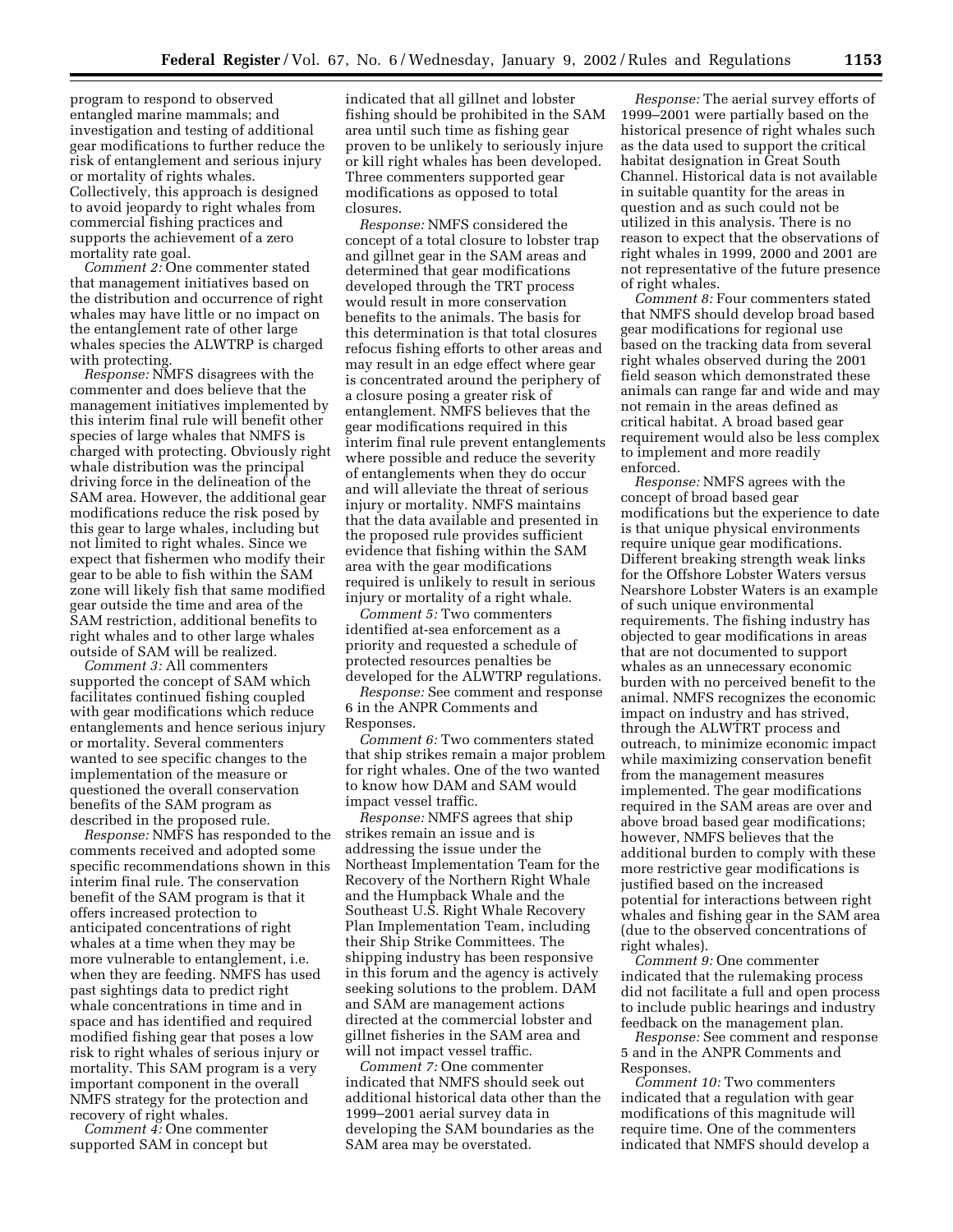program to respond to observed entangled marine mammals; and investigation and testing of additional gear modifications to further reduce the risk of entanglement and serious injury or mortality of rights whales. Collectively, this approach is designed to avoid jeopardy to right whales from commercial fishing practices and supports the achievement of a zero mortality rate goal.

*Comment 2:* One commenter stated that management initiatives based on the distribution and occurrence of right whales may have little or no impact on the entanglement rate of other large whales species the ALWTRP is charged with protecting.

*Response:* NMFS disagrees with the commenter and does believe that the management initiatives implemented by this interim final rule will benefit other species of large whales that NMFS is charged with protecting. Obviously right whale distribution was the principal driving force in the delineation of the SAM area. However, the additional gear modifications reduce the risk posed by this gear to large whales, including but not limited to right whales. Since we expect that fishermen who modify their gear to be able to fish within the SAM zone will likely fish that same modified gear outside the time and area of the SAM restriction, additional benefits to right whales and to other large whales outside of SAM will be realized.

*Comment 3:* All commenters supported the concept of SAM which facilitates continued fishing coupled with gear modifications which reduce entanglements and hence serious injury or mortality. Several commenters wanted to see specific changes to the implementation of the measure or questioned the overall conservation benefits of the SAM program as described in the proposed rule.

*Response:* NMFS has responded to the comments received and adopted some specific recommendations shown in this interim final rule. The conservation benefit of the SAM program is that it offers increased protection to anticipated concentrations of right whales at a time when they may be more vulnerable to entanglement, i.e. when they are feeding. NMFS has used past sightings data to predict right whale concentrations in time and in space and has identified and required modified fishing gear that poses a low risk to right whales of serious injury or mortality. This SAM program is a very important component in the overall NMFS strategy for the protection and recovery of right whales.

*Comment 4:* One commenter supported SAM in concept but

indicated that all gillnet and lobster fishing should be prohibited in the SAM area until such time as fishing gear proven to be unlikely to seriously injure or kill right whales has been developed. Three commenters supported gear modifications as opposed to total closures.

*Response:* NMFS considered the concept of a total closure to lobster trap and gillnet gear in the SAM areas and determined that gear modifications developed through the TRT process would result in more conservation benefits to the animals. The basis for this determination is that total closures refocus fishing efforts to other areas and may result in an edge effect where gear is concentrated around the periphery of a closure posing a greater risk of entanglement. NMFS believes that the gear modifications required in this interim final rule prevent entanglements where possible and reduce the severity of entanglements when they do occur and will alleviate the threat of serious injury or mortality. NMFS maintains that the data available and presented in the proposed rule provides sufficient evidence that fishing within the SAM area with the gear modifications required is unlikely to result in serious injury or mortality of a right whale.

*Comment 5:* Two commenters identified at-sea enforcement as a priority and requested a schedule of protected resources penalties be developed for the ALWTRP regulations.

*Response:* See comment and response 6 in the ANPR Comments and Responses.

*Comment 6:* Two commenters stated that ship strikes remain a major problem for right whales. One of the two wanted to know how DAM and SAM would impact vessel traffic.

*Response:* NMFS agrees that ship strikes remain an issue and is addressing the issue under the Northeast Implementation Team for the Recovery of the Northern Right Whale and the Humpback Whale and the Southeast U.S. Right Whale Recovery Plan Implementation Team, including their Ship Strike Committees. The shipping industry has been responsive in this forum and the agency is actively seeking solutions to the problem. DAM and SAM are management actions directed at the commercial lobster and gillnet fisheries in the SAM area and will not impact vessel traffic.

*Comment 7:* One commenter indicated that NMFS should seek out additional historical data other than the 1999–2001 aerial survey data in developing the SAM boundaries as the SAM area may be overstated.

*Response:* The aerial survey efforts of 1999–2001 were partially based on the historical presence of right whales such as the data used to support the critical habitat designation in Great South Channel. Historical data is not available in suitable quantity for the areas in question and as such could not be utilized in this analysis. There is no reason to expect that the observations of right whales in 1999, 2000 and 2001 are not representative of the future presence of right whales.

*Comment 8:* Four commenters stated that NMFS should develop broad based gear modifications for regional use based on the tracking data from several right whales observed during the 2001 field season which demonstrated these animals can range far and wide and may not remain in the areas defined as critical habitat. A broad based gear requirement would also be less complex to implement and more readily enforced.

*Response:* NMFS agrees with the concept of broad based gear modifications but the experience to date is that unique physical environments require unique gear modifications. Different breaking strength weak links for the Offshore Lobster Waters versus Nearshore Lobster Waters is an example of such unique environmental requirements. The fishing industry has objected to gear modifications in areas that are not documented to support whales as an unnecessary economic burden with no perceived benefit to the animal. NMFS recognizes the economic impact on industry and has strived, through the ALWTRT process and outreach, to minimize economic impact while maximizing conservation benefit from the management measures implemented. The gear modifications required in the SAM areas are over and above broad based gear modifications; however, NMFS believes that the additional burden to comply with these more restrictive gear modifications is justified based on the increased potential for interactions between right whales and fishing gear in the SAM area (due to the observed concentrations of right whales).

*Comment 9:* One commenter indicated that the rulemaking process did not facilitate a full and open process to include public hearings and industry feedback on the management plan.

*Response:* See comment and response 5 and in the ANPR Comments and Responses.

*Comment 10:* Two commenters indicated that a regulation with gear modifications of this magnitude will require time. One of the commenters indicated that NMFS should develop a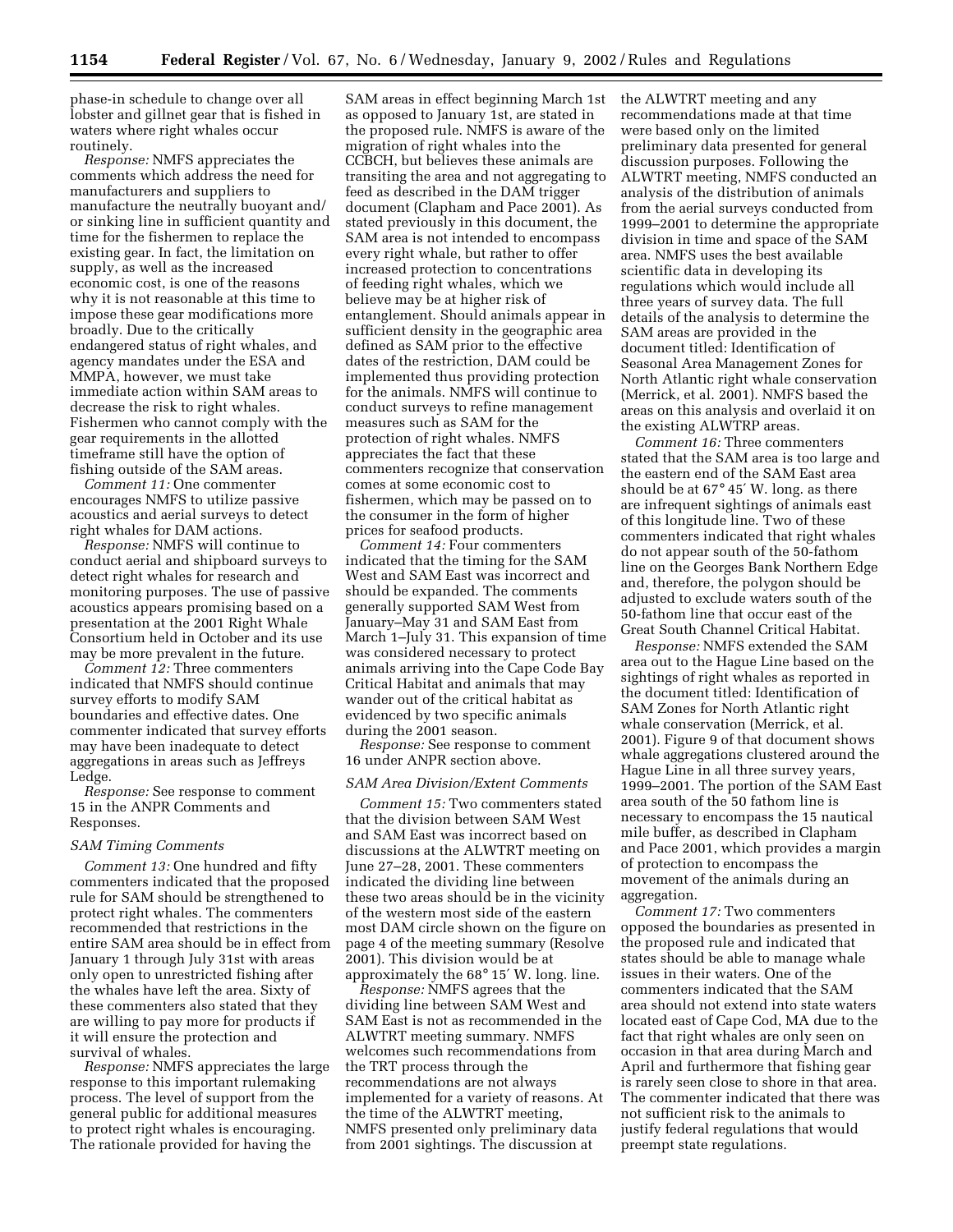phase-in schedule to change over all lobster and gillnet gear that is fished in waters where right whales occur routinely.

*Response:* NMFS appreciates the comments which address the need for manufacturers and suppliers to manufacture the neutrally buoyant and/ or sinking line in sufficient quantity and time for the fishermen to replace the existing gear. In fact, the limitation on supply, as well as the increased economic cost, is one of the reasons why it is not reasonable at this time to impose these gear modifications more broadly. Due to the critically endangered status of right whales, and agency mandates under the ESA and MMPA, however, we must take immediate action within SAM areas to decrease the risk to right whales. Fishermen who cannot comply with the gear requirements in the allotted timeframe still have the option of fishing outside of the SAM areas.

*Comment 11:* One commenter encourages NMFS to utilize passive acoustics and aerial surveys to detect right whales for DAM actions.

*Response:* NMFS will continue to conduct aerial and shipboard surveys to detect right whales for research and monitoring purposes. The use of passive acoustics appears promising based on a presentation at the 2001 Right Whale Consortium held in October and its use may be more prevalent in the future.

*Comment 12:* Three commenters indicated that NMFS should continue survey efforts to modify SAM boundaries and effective dates. One commenter indicated that survey efforts may have been inadequate to detect aggregations in areas such as Jeffreys Ledge.

*Response:* See response to comment 15 in the ANPR Comments and Responses.

#### *SAM Timing Comments*

*Comment 13:* One hundred and fifty commenters indicated that the proposed rule for SAM should be strengthened to protect right whales. The commenters recommended that restrictions in the entire SAM area should be in effect from January 1 through July 31st with areas only open to unrestricted fishing after the whales have left the area. Sixty of these commenters also stated that they are willing to pay more for products if it will ensure the protection and survival of whales.

*Response:* NMFS appreciates the large response to this important rulemaking process. The level of support from the general public for additional measures to protect right whales is encouraging. The rationale provided for having the

SAM areas in effect beginning March 1st as opposed to January 1st, are stated in the proposed rule. NMFS is aware of the migration of right whales into the CCBCH, but believes these animals are transiting the area and not aggregating to feed as described in the DAM trigger document (Clapham and Pace 2001). As stated previously in this document, the SAM area is not intended to encompass every right whale, but rather to offer increased protection to concentrations of feeding right whales, which we believe may be at higher risk of entanglement. Should animals appear in sufficient density in the geographic area defined as SAM prior to the effective dates of the restriction, DAM could be implemented thus providing protection for the animals. NMFS will continue to conduct surveys to refine management measures such as SAM for the protection of right whales. NMFS appreciates the fact that these commenters recognize that conservation comes at some economic cost to fishermen, which may be passed on to the consumer in the form of higher prices for seafood products.

*Comment 14:* Four commenters indicated that the timing for the SAM West and SAM East was incorrect and should be expanded. The comments generally supported SAM West from January–May 31 and SAM East from March 1–July 31. This expansion of time was considered necessary to protect animals arriving into the Cape Code Bay Critical Habitat and animals that may wander out of the critical habitat as evidenced by two specific animals during the 2001 season.

*Response:* See response to comment 16 under ANPR section above.

#### *SAM Area Division/Extent Comments*

*Comment 15:* Two commenters stated that the division between SAM West and SAM East was incorrect based on discussions at the ALWTRT meeting on June 27–28, 2001. These commenters indicated the dividing line between these two areas should be in the vicinity of the western most side of the eastern most DAM circle shown on the figure on page 4 of the meeting summary (Resolve 2001). This division would be at approximately the 68° 15′ W. long. line.

*Response:* NMFS agrees that the dividing line between SAM West and SAM East is not as recommended in the ALWTRT meeting summary. NMFS welcomes such recommendations from the TRT process through the recommendations are not always implemented for a variety of reasons. At the time of the ALWTRT meeting, NMFS presented only preliminary data from 2001 sightings. The discussion at

the ALWTRT meeting and any recommendations made at that time were based only on the limited preliminary data presented for general discussion purposes. Following the ALWTRT meeting, NMFS conducted an analysis of the distribution of animals from the aerial surveys conducted from 1999–2001 to determine the appropriate division in time and space of the SAM area. NMFS uses the best available scientific data in developing its regulations which would include all three years of survey data. The full details of the analysis to determine the SAM areas are provided in the document titled: Identification of Seasonal Area Management Zones for North Atlantic right whale conservation (Merrick, et al. 2001). NMFS based the areas on this analysis and overlaid it on the existing ALWTRP areas.

*Comment 16:* Three commenters stated that the SAM area is too large and the eastern end of the SAM East area should be at 67° 45′ W. long. as there are infrequent sightings of animals east of this longitude line. Two of these commenters indicated that right whales do not appear south of the 50-fathom line on the Georges Bank Northern Edge and, therefore, the polygon should be adjusted to exclude waters south of the 50-fathom line that occur east of the Great South Channel Critical Habitat.

*Response:* NMFS extended the SAM area out to the Hague Line based on the sightings of right whales as reported in the document titled: Identification of SAM Zones for North Atlantic right whale conservation (Merrick, et al. 2001). Figure 9 of that document shows whale aggregations clustered around the Hague Line in all three survey years, 1999–2001. The portion of the SAM East area south of the 50 fathom line is necessary to encompass the 15 nautical mile buffer, as described in Clapham and Pace 2001, which provides a margin of protection to encompass the movement of the animals during an aggregation.

*Comment 17:* Two commenters opposed the boundaries as presented in the proposed rule and indicated that states should be able to manage whale issues in their waters. One of the commenters indicated that the SAM area should not extend into state waters located east of Cape Cod, MA due to the fact that right whales are only seen on occasion in that area during March and April and furthermore that fishing gear is rarely seen close to shore in that area. The commenter indicated that there was not sufficient risk to the animals to justify federal regulations that would preempt state regulations.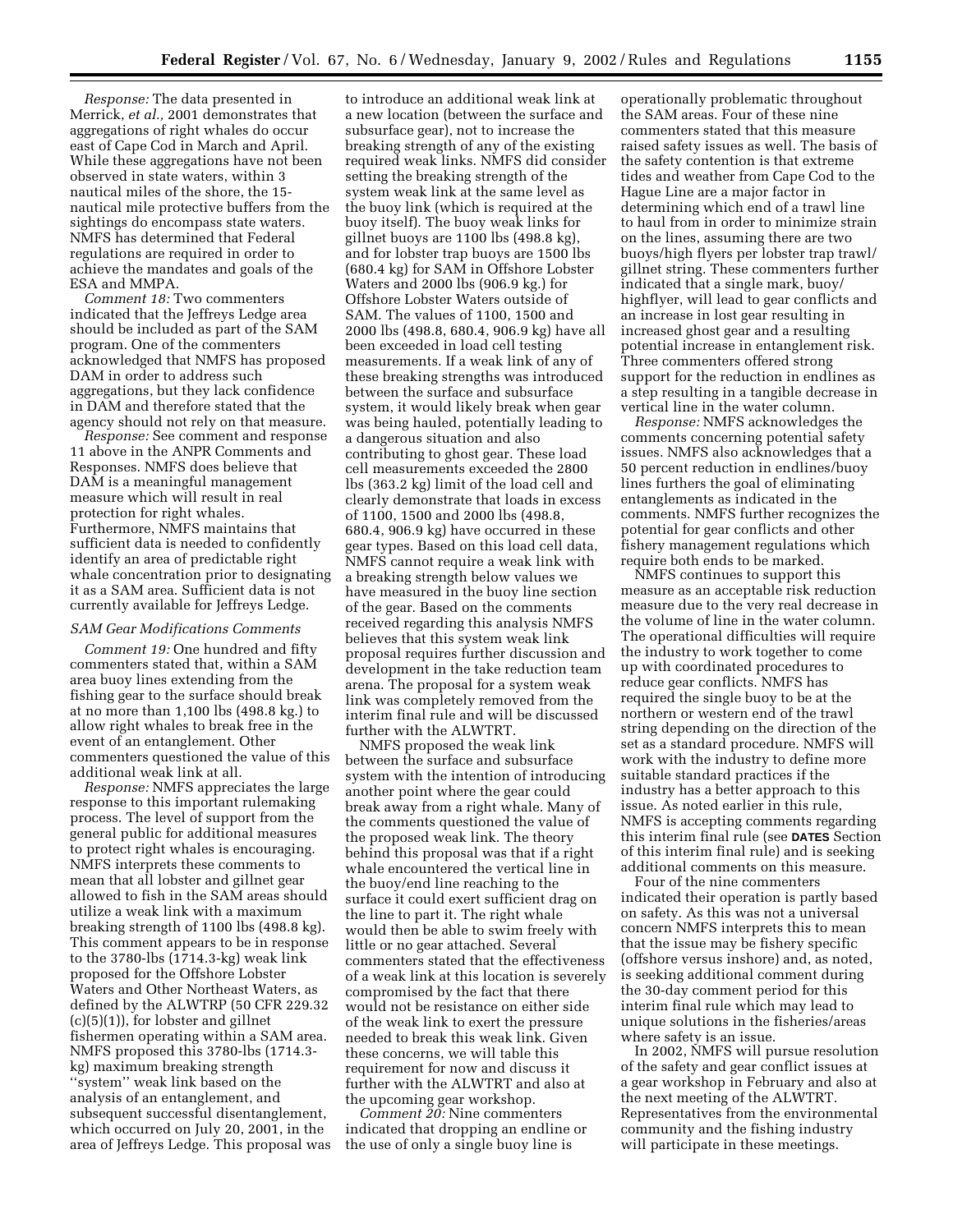*Response:* The data presented in Merrick, *et al.,* 2001 demonstrates that aggregations of right whales do occur east of Cape Cod in March and April. While these aggregations have not been observed in state waters, within 3 nautical miles of the shore, the 15 nautical mile protective buffers from the sightings do encompass state waters. NMFS has determined that Federal regulations are required in order to achieve the mandates and goals of the ESA and MMPA.

*Comment 18:* Two commenters indicated that the Jeffreys Ledge area should be included as part of the SAM program. One of the commenters acknowledged that NMFS has proposed DAM in order to address such aggregations, but they lack confidence in DAM and therefore stated that the agency should not rely on that measure.

*Response:* See comment and response 11 above in the ANPR Comments and Responses. NMFS does believe that DAM is a meaningful management measure which will result in real protection for right whales. Furthermore, NMFS maintains that sufficient data is needed to confidently identify an area of predictable right whale concentration prior to designating it as a SAM area. Sufficient data is not currently available for Jeffreys Ledge.

#### *SAM Gear Modifications Comments*

*Comment 19:* One hundred and fifty commenters stated that, within a SAM area buoy lines extending from the fishing gear to the surface should break at no more than 1,100 lbs (498.8 kg.) to allow right whales to break free in the event of an entanglement. Other commenters questioned the value of this additional weak link at all.

*Response:* NMFS appreciates the large response to this important rulemaking process. The level of support from the general public for additional measures to protect right whales is encouraging. NMFS interprets these comments to mean that all lobster and gillnet gear allowed to fish in the SAM areas should utilize a weak link with a maximum breaking strength of 1100 lbs (498.8 kg). This comment appears to be in response to the 3780-lbs (1714.3-kg) weak link proposed for the Offshore Lobster Waters and Other Northeast Waters, as defined by the ALWTRP (50 CFR 229.32 (c)(5)(1)), for lobster and gillnet fishermen operating within a SAM area. NMFS proposed this 3780-lbs (1714.3 kg) maximum breaking strength ''system'' weak link based on the analysis of an entanglement, and subsequent successful disentanglement, which occurred on July 20, 2001, in the area of Jeffreys Ledge. This proposal was

to introduce an additional weak link at a new location (between the surface and subsurface gear), not to increase the breaking strength of any of the existing required weak links. NMFS did consider setting the breaking strength of the system weak link at the same level as the buoy link (which is required at the buoy itself). The buoy weak links for gillnet buoys are 1100 lbs (498.8 kg), and for lobster trap buoys are 1500 lbs (680.4 kg) for SAM in Offshore Lobster Waters and 2000 lbs (906.9 kg.) for Offshore Lobster Waters outside of SAM. The values of 1100, 1500 and 2000 lbs (498.8, 680.4, 906.9 kg) have all been exceeded in load cell testing measurements. If a weak link of any of these breaking strengths was introduced between the surface and subsurface system, it would likely break when gear was being hauled, potentially leading to a dangerous situation and also contributing to ghost gear. These load cell measurements exceeded the 2800 lbs (363.2 kg) limit of the load cell and clearly demonstrate that loads in excess of 1100, 1500 and 2000 lbs (498.8, 680.4, 906.9 kg) have occurred in these gear types. Based on this load cell data, NMFS cannot require a weak link with a breaking strength below values we have measured in the buoy line section of the gear. Based on the comments received regarding this analysis NMFS believes that this system weak link proposal requires further discussion and development in the take reduction team arena. The proposal for a system weak link was completely removed from the interim final rule and will be discussed further with the ALWTRT.

NMFS proposed the weak link between the surface and subsurface system with the intention of introducing another point where the gear could break away from a right whale. Many of the comments questioned the value of the proposed weak link. The theory behind this proposal was that if a right whale encountered the vertical line in the buoy/end line reaching to the surface it could exert sufficient drag on the line to part it. The right whale would then be able to swim freely with little or no gear attached. Several commenters stated that the effectiveness of a weak link at this location is severely compromised by the fact that there would not be resistance on either side of the weak link to exert the pressure needed to break this weak link. Given these concerns, we will table this requirement for now and discuss it further with the ALWTRT and also at the upcoming gear workshop.

*Comment 20:* Nine commenters indicated that dropping an endline or the use of only a single buoy line is

operationally problematic throughout the SAM areas. Four of these nine commenters stated that this measure raised safety issues as well. The basis of the safety contention is that extreme tides and weather from Cape Cod to the Hague Line are a major factor in determining which end of a trawl line to haul from in order to minimize strain on the lines, assuming there are two buoys/high flyers per lobster trap trawl/ gillnet string. These commenters further indicated that a single mark, buoy/ highflyer, will lead to gear conflicts and an increase in lost gear resulting in increased ghost gear and a resulting potential increase in entanglement risk. Three commenters offered strong support for the reduction in endlines as a step resulting in a tangible decrease in vertical line in the water column.

*Response:* NMFS acknowledges the comments concerning potential safety issues. NMFS also acknowledges that a 50 percent reduction in endlines/buoy lines furthers the goal of eliminating entanglements as indicated in the comments. NMFS further recognizes the potential for gear conflicts and other fishery management regulations which require both ends to be marked.

NMFS continues to support this measure as an acceptable risk reduction measure due to the very real decrease in the volume of line in the water column. The operational difficulties will require the industry to work together to come up with coordinated procedures to reduce gear conflicts. NMFS has required the single buoy to be at the northern or western end of the trawl string depending on the direction of the set as a standard procedure. NMFS will work with the industry to define more suitable standard practices if the industry has a better approach to this issue. As noted earlier in this rule, NMFS is accepting comments regarding this interim final rule (see **DATES** Section of this interim final rule) and is seeking additional comments on this measure.

Four of the nine commenters indicated their operation is partly based on safety. As this was not a universal concern NMFS interprets this to mean that the issue may be fishery specific (offshore versus inshore) and, as noted, is seeking additional comment during the 30-day comment period for this interim final rule which may lead to unique solutions in the fisheries/areas where safety is an issue.

In 2002, NMFS will pursue resolution of the safety and gear conflict issues at a gear workshop in February and also at the next meeting of the ALWTRT. Representatives from the environmental community and the fishing industry will participate in these meetings.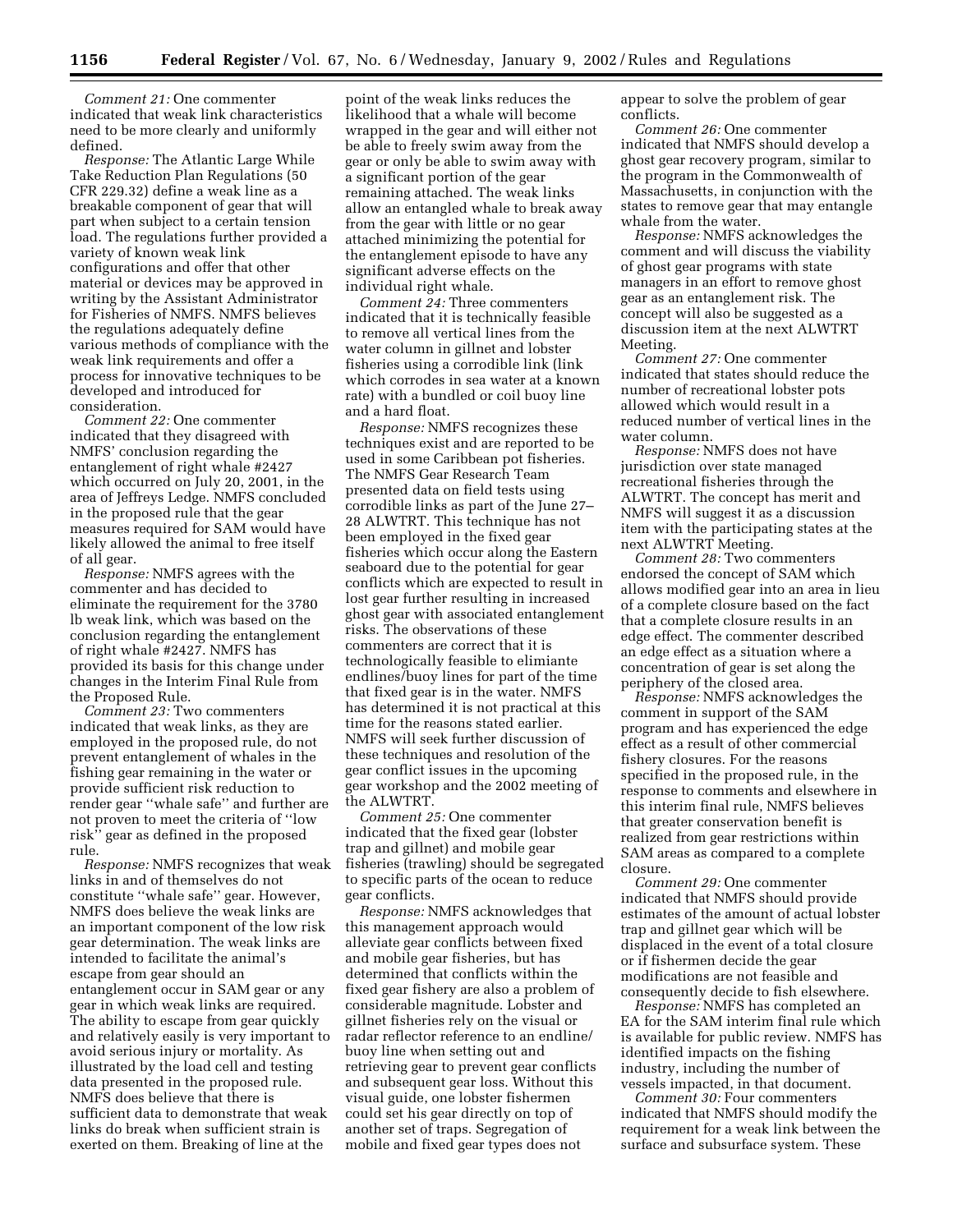*Comment 21:* One commenter indicated that weak link characteristics need to be more clearly and uniformly defined.

*Response:* The Atlantic Large While Take Reduction Plan Regulations (50 CFR 229.32) define a weak line as a breakable component of gear that will part when subject to a certain tension load. The regulations further provided a variety of known weak link configurations and offer that other material or devices may be approved in writing by the Assistant Administrator for Fisheries of NMFS. NMFS believes the regulations adequately define various methods of compliance with the weak link requirements and offer a process for innovative techniques to be developed and introduced for consideration.

*Comment 22:* One commenter indicated that they disagreed with NMFS' conclusion regarding the entanglement of right whale #2427 which occurred on July 20, 2001, in the area of Jeffreys Ledge. NMFS concluded in the proposed rule that the gear measures required for SAM would have likely allowed the animal to free itself of all gear.

*Response:* NMFS agrees with the commenter and has decided to eliminate the requirement for the 3780 lb weak link, which was based on the conclusion regarding the entanglement of right whale #2427. NMFS has provided its basis for this change under changes in the Interim Final Rule from the Proposed Rule.

*Comment 23:* Two commenters indicated that weak links, as they are employed in the proposed rule, do not prevent entanglement of whales in the fishing gear remaining in the water or provide sufficient risk reduction to render gear ''whale safe'' and further are not proven to meet the criteria of ''low risk'' gear as defined in the proposed rule.

*Response:* NMFS recognizes that weak links in and of themselves do not constitute ''whale safe'' gear. However, NMFS does believe the weak links are an important component of the low risk gear determination. The weak links are intended to facilitate the animal's escape from gear should an entanglement occur in SAM gear or any gear in which weak links are required. The ability to escape from gear quickly and relatively easily is very important to avoid serious injury or mortality. As illustrated by the load cell and testing data presented in the proposed rule. NMFS does believe that there is sufficient data to demonstrate that weak links do break when sufficient strain is exerted on them. Breaking of line at the

point of the weak links reduces the likelihood that a whale will become wrapped in the gear and will either not be able to freely swim away from the gear or only be able to swim away with a significant portion of the gear remaining attached. The weak links allow an entangled whale to break away from the gear with little or no gear attached minimizing the potential for the entanglement episode to have any significant adverse effects on the individual right whale.

*Comment 24:* Three commenters indicated that it is technically feasible to remove all vertical lines from the water column in gillnet and lobster fisheries using a corrodible link (link which corrodes in sea water at a known rate) with a bundled or coil buoy line and a hard float.

*Response:* NMFS recognizes these techniques exist and are reported to be used in some Caribbean pot fisheries. The NMFS Gear Research Team presented data on field tests using corrodible links as part of the June 27– 28 ALWTRT. This technique has not been employed in the fixed gear fisheries which occur along the Eastern seaboard due to the potential for gear conflicts which are expected to result in lost gear further resulting in increased ghost gear with associated entanglement risks. The observations of these commenters are correct that it is technologically feasible to elimiante endlines/buoy lines for part of the time that fixed gear is in the water. NMFS has determined it is not practical at this time for the reasons stated earlier. NMFS will seek further discussion of these techniques and resolution of the gear conflict issues in the upcoming gear workshop and the 2002 meeting of the ALWTRT.

*Comment 25:* One commenter indicated that the fixed gear (lobster trap and gillnet) and mobile gear fisheries (trawling) should be segregated to specific parts of the ocean to reduce gear conflicts.

*Response:* NMFS acknowledges that this management approach would alleviate gear conflicts between fixed and mobile gear fisheries, but has determined that conflicts within the fixed gear fishery are also a problem of considerable magnitude. Lobster and gillnet fisheries rely on the visual or radar reflector reference to an endline/ buoy line when setting out and retrieving gear to prevent gear conflicts and subsequent gear loss. Without this visual guide, one lobster fishermen could set his gear directly on top of another set of traps. Segregation of mobile and fixed gear types does not

appear to solve the problem of gear conflicts.

*Comment 26:* One commenter indicated that NMFS should develop a ghost gear recovery program, similar to the program in the Commonwealth of Massachusetts, in conjunction with the states to remove gear that may entangle whale from the water.

*Response:* NMFS acknowledges the comment and will discuss the viability of ghost gear programs with state managers in an effort to remove ghost gear as an entanglement risk. The concept will also be suggested as a discussion item at the next ALWTRT Meeting.

*Comment 27:* One commenter indicated that states should reduce the number of recreational lobster pots allowed which would result in a reduced number of vertical lines in the water column.

*Response:* NMFS does not have jurisdiction over state managed recreational fisheries through the ALWTRT. The concept has merit and NMFS will suggest it as a discussion item with the participating states at the next ALWTRT Meeting.

*Comment 28:* Two commenters endorsed the concept of SAM which allows modified gear into an area in lieu of a complete closure based on the fact that a complete closure results in an edge effect. The commenter described an edge effect as a situation where a concentration of gear is set along the periphery of the closed area.

*Response:* NMFS acknowledges the comment in support of the SAM program and has experienced the edge effect as a result of other commercial fishery closures. For the reasons specified in the proposed rule, in the response to comments and elsewhere in this interim final rule, NMFS believes that greater conservation benefit is realized from gear restrictions within SAM areas as compared to a complete closure.

*Comment 29:* One commenter indicated that NMFS should provide estimates of the amount of actual lobster trap and gillnet gear which will be displaced in the event of a total closure or if fishermen decide the gear modifications are not feasible and consequently decide to fish elsewhere.

*Response:* NMFS has completed an EA for the SAM interim final rule which is available for public review. NMFS has identified impacts on the fishing industry, including the number of vessels impacted, in that document.

*Comment 30:* Four commenters indicated that NMFS should modify the requirement for a weak link between the surface and subsurface system. These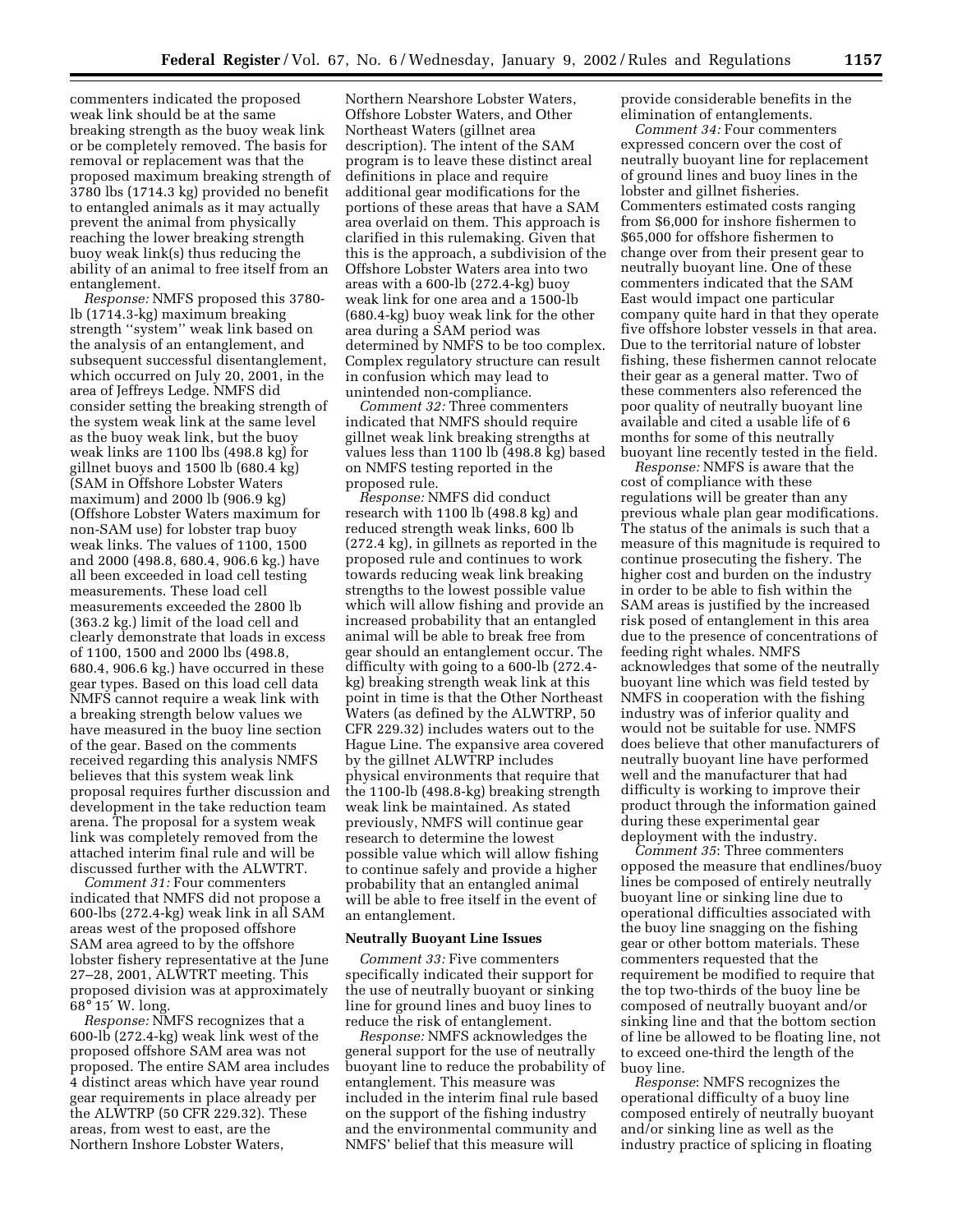commenters indicated the proposed weak link should be at the same breaking strength as the buoy weak link or be completely removed. The basis for removal or replacement was that the proposed maximum breaking strength of 3780 lbs (1714.3 kg) provided no benefit to entangled animals as it may actually prevent the animal from physically reaching the lower breaking strength buoy weak link(s) thus reducing the ability of an animal to free itself from an entanglement.

*Response:* NMFS proposed this 3780 lb (1714.3-kg) maximum breaking strength ''system'' weak link based on the analysis of an entanglement, and subsequent successful disentanglement, which occurred on July 20, 2001, in the area of Jeffreys Ledge. NMFS did consider setting the breaking strength of the system weak link at the same level as the buoy weak link, but the buoy weak links are 1100 lbs (498.8 kg) for gillnet buoys and 1500 lb (680.4 kg) (SAM in Offshore Lobster Waters maximum) and 2000 lb (906.9 kg) (Offshore Lobster Waters maximum for non-SAM use) for lobster trap buoy weak links. The values of 1100, 1500 and 2000 (498.8, 680.4, 906.6 kg.) have all been exceeded in load cell testing measurements. These load cell measurements exceeded the 2800 lb (363.2 kg.) limit of the load cell and clearly demonstrate that loads in excess of 1100, 1500 and 2000 lbs (498.8, 680.4, 906.6 kg.) have occurred in these gear types. Based on this load cell data NMFS cannot require a weak link with a breaking strength below values we have measured in the buoy line section of the gear. Based on the comments received regarding this analysis NMFS believes that this system weak link proposal requires further discussion and development in the take reduction team arena. The proposal for a system weak link was completely removed from the attached interim final rule and will be discussed further with the ALWTRT.

*Comment 31:* Four commenters indicated that NMFS did not propose a 600-lbs (272.4-kg) weak link in all SAM areas west of the proposed offshore SAM area agreed to by the offshore lobster fishery representative at the June 27–28, 2001, ALWTRT meeting. This proposed division was at approximately 68° 15′ W. long.

*Response:* NMFS recognizes that a 600-lb (272.4-kg) weak link west of the proposed offshore SAM area was not proposed. The entire SAM area includes 4 distinct areas which have year round gear requirements in place already per the ALWTRP (50 CFR 229.32). These areas, from west to east, are the Northern Inshore Lobster Waters,

Northern Nearshore Lobster Waters, Offshore Lobster Waters, and Other Northeast Waters (gillnet area description). The intent of the SAM program is to leave these distinct areal definitions in place and require additional gear modifications for the portions of these areas that have a SAM area overlaid on them. This approach is clarified in this rulemaking. Given that this is the approach, a subdivision of the Offshore Lobster Waters area into two areas with a 600-lb (272.4-kg) buoy weak link for one area and a 1500-lb (680.4-kg) buoy weak link for the other area during a SAM period was determined by NMFS to be too complex. Complex regulatory structure can result in confusion which may lead to unintended non-compliance.

*Comment 32:* Three commenters indicated that NMFS should require gillnet weak link breaking strengths at values less than 1100 lb (498.8 kg) based on NMFS testing reported in the proposed rule.

*Response:* NMFS did conduct research with 1100 lb (498.8 kg) and reduced strength weak links, 600 lb (272.4 kg), in gillnets as reported in the proposed rule and continues to work towards reducing weak link breaking strengths to the lowest possible value which will allow fishing and provide an increased probability that an entangled animal will be able to break free from gear should an entanglement occur. The difficulty with going to a 600-lb (272.4 kg) breaking strength weak link at this point in time is that the Other Northeast Waters (as defined by the ALWTRP, 50 CFR 229.32) includes waters out to the Hague Line. The expansive area covered by the gillnet ALWTRP includes physical environments that require that the 1100-lb (498.8-kg) breaking strength weak link be maintained. As stated previously, NMFS will continue gear research to determine the lowest possible value which will allow fishing to continue safely and provide a higher probability that an entangled animal will be able to free itself in the event of an entanglement.

### **Neutrally Buoyant Line Issues**

*Comment 33:* Five commenters specifically indicated their support for the use of neutrally buoyant or sinking line for ground lines and buoy lines to reduce the risk of entanglement.

*Response:* NMFS acknowledges the general support for the use of neutrally buoyant line to reduce the probability of entanglement. This measure was included in the interim final rule based on the support of the fishing industry and the environmental community and NMFS' belief that this measure will

provide considerable benefits in the elimination of entanglements.

*Comment 34:* Four commenters expressed concern over the cost of neutrally buoyant line for replacement of ground lines and buoy lines in the lobster and gillnet fisheries. Commenters estimated costs ranging from \$6,000 for inshore fishermen to \$65,000 for offshore fishermen to change over from their present gear to neutrally buoyant line. One of these commenters indicated that the SAM East would impact one particular company quite hard in that they operate five offshore lobster vessels in that area. Due to the territorial nature of lobster fishing, these fishermen cannot relocate their gear as a general matter. Two of these commenters also referenced the poor quality of neutrally buoyant line available and cited a usable life of 6 months for some of this neutrally buoyant line recently tested in the field.

*Response:* NMFS is aware that the cost of compliance with these regulations will be greater than any previous whale plan gear modifications. The status of the animals is such that a measure of this magnitude is required to continue prosecuting the fishery. The higher cost and burden on the industry in order to be able to fish within the SAM areas is justified by the increased risk posed of entanglement in this area due to the presence of concentrations of feeding right whales. NMFS acknowledges that some of the neutrally buoyant line which was field tested by NMFS in cooperation with the fishing industry was of inferior quality and would not be suitable for use. NMFS does believe that other manufacturers of neutrally buoyant line have performed well and the manufacturer that had difficulty is working to improve their product through the information gained during these experimental gear deployment with the industry.

*Comment 35*: Three commenters opposed the measure that endlines/buoy lines be composed of entirely neutrally buoyant line or sinking line due to operational difficulties associated with the buoy line snagging on the fishing gear or other bottom materials. These commenters requested that the requirement be modified to require that the top two-thirds of the buoy line be composed of neutrally buoyant and/or sinking line and that the bottom section of line be allowed to be floating line, not to exceed one-third the length of the buoy line.

*Response*: NMFS recognizes the operational difficulty of a buoy line composed entirely of neutrally buoyant and/or sinking line as well as the industry practice of splicing in floating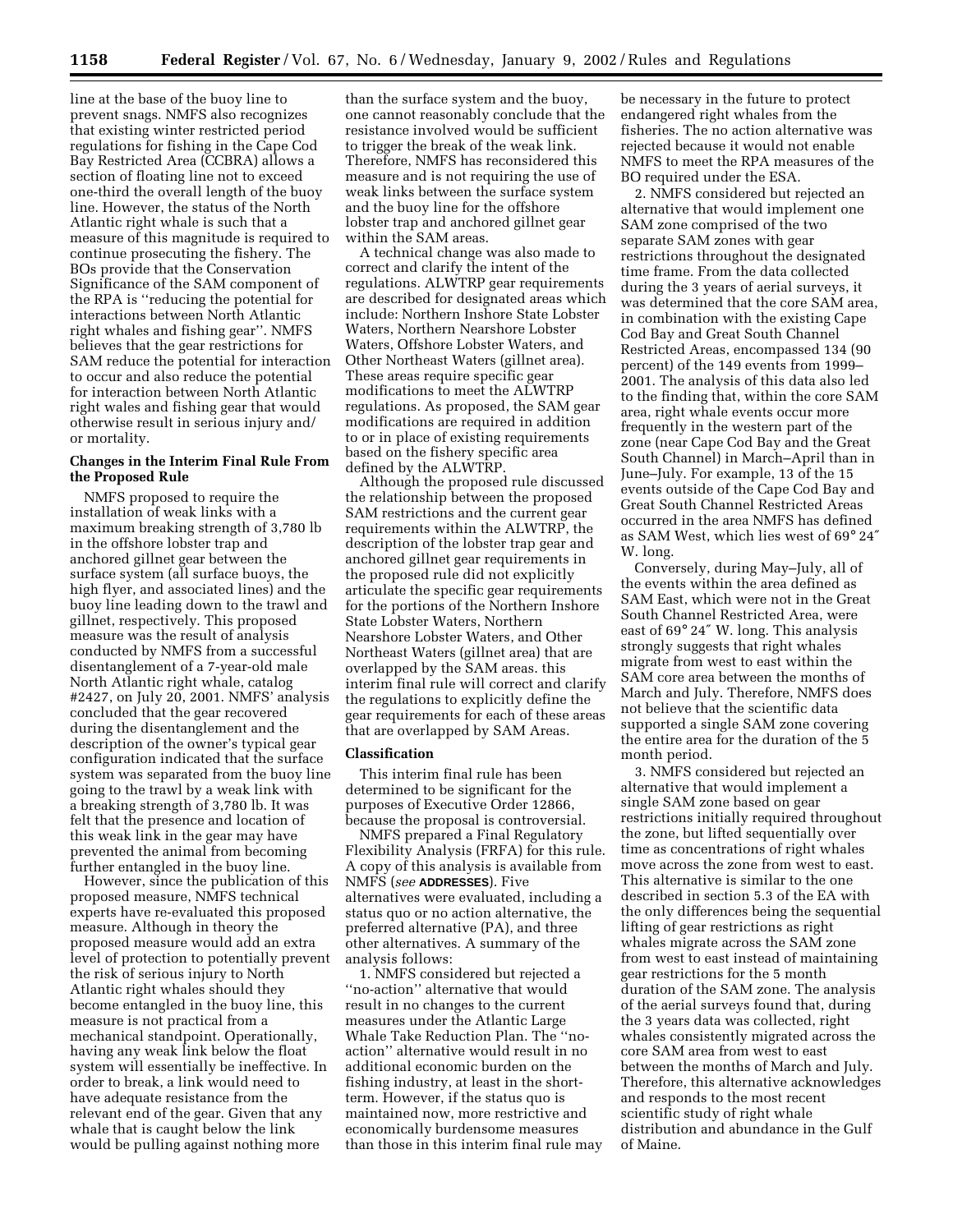line at the base of the buoy line to prevent snags. NMFS also recognizes that existing winter restricted period regulations for fishing in the Cape Cod Bay Restricted Area (CCBRA) allows a section of floating line not to exceed one-third the overall length of the buoy line. However, the status of the North Atlantic right whale is such that a measure of this magnitude is required to continue prosecuting the fishery. The BOs provide that the Conservation Significance of the SAM component of the RPA is ''reducing the potential for interactions between North Atlantic right whales and fishing gear''. NMFS believes that the gear restrictions for SAM reduce the potential for interaction to occur and also reduce the potential for interaction between North Atlantic right wales and fishing gear that would otherwise result in serious injury and/ or mortality.

# **Changes in the Interim Final Rule From the Proposed Rule**

NMFS proposed to require the installation of weak links with a maximum breaking strength of 3,780 lb in the offshore lobster trap and anchored gillnet gear between the surface system (all surface buoys, the high flyer, and associated lines) and the buoy line leading down to the trawl and gillnet, respectively. This proposed measure was the result of analysis conducted by NMFS from a successful disentanglement of a 7-year-old male North Atlantic right whale, catalog #2427, on July 20, 2001. NMFS' analysis concluded that the gear recovered during the disentanglement and the description of the owner's typical gear configuration indicated that the surface system was separated from the buoy line going to the trawl by a weak link with a breaking strength of 3,780 lb. It was felt that the presence and location of this weak link in the gear may have prevented the animal from becoming further entangled in the buoy line.

However, since the publication of this proposed measure, NMFS technical experts have re-evaluated this proposed measure. Although in theory the proposed measure would add an extra level of protection to potentially prevent the risk of serious injury to North Atlantic right whales should they become entangled in the buoy line, this measure is not practical from a mechanical standpoint. Operationally, having any weak link below the float system will essentially be ineffective. In order to break, a link would need to have adequate resistance from the relevant end of the gear. Given that any whale that is caught below the link would be pulling against nothing more

than the surface system and the buoy, one cannot reasonably conclude that the resistance involved would be sufficient to trigger the break of the weak link. Therefore, NMFS has reconsidered this measure and is not requiring the use of weak links between the surface system and the buoy line for the offshore lobster trap and anchored gillnet gear within the SAM areas.

A technical change was also made to correct and clarify the intent of the regulations. ALWTRP gear requirements are described for designated areas which include: Northern Inshore State Lobster Waters, Northern Nearshore Lobster Waters, Offshore Lobster Waters, and Other Northeast Waters (gillnet area). These areas require specific gear modifications to meet the ALWTRP regulations. As proposed, the SAM gear modifications are required in addition to or in place of existing requirements based on the fishery specific area defined by the ALWTRP.

Although the proposed rule discussed the relationship between the proposed SAM restrictions and the current gear requirements within the ALWTRP, the description of the lobster trap gear and anchored gillnet gear requirements in the proposed rule did not explicitly articulate the specific gear requirements for the portions of the Northern Inshore State Lobster Waters, Northern Nearshore Lobster Waters, and Other Northeast Waters (gillnet area) that are overlapped by the SAM areas. this interim final rule will correct and clarify the regulations to explicitly define the gear requirements for each of these areas that are overlapped by SAM Areas.

#### **Classification**

This interim final rule has been determined to be significant for the purposes of Executive Order 12866, because the proposal is controversial.

NMFS prepared a Final Regulatory Flexibility Analysis (FRFA) for this rule. A copy of this analysis is available from NMFS (*see* **ADDRESSES**). Five alternatives were evaluated, including a status quo or no action alternative, the preferred alternative (PA), and three other alternatives. A summary of the analysis follows:

1. NMFS considered but rejected a ''no-action'' alternative that would result in no changes to the current measures under the Atlantic Large Whale Take Reduction Plan. The ''noaction'' alternative would result in no additional economic burden on the fishing industry, at least in the shortterm. However, if the status quo is maintained now, more restrictive and economically burdensome measures than those in this interim final rule may be necessary in the future to protect endangered right whales from the fisheries. The no action alternative was rejected because it would not enable NMFS to meet the RPA measures of the BO required under the ESA.

2. NMFS considered but rejected an alternative that would implement one SAM zone comprised of the two separate SAM zones with gear restrictions throughout the designated time frame. From the data collected during the 3 years of aerial surveys, it was determined that the core SAM area, in combination with the existing Cape Cod Bay and Great South Channel Restricted Areas, encompassed 134 (90 percent) of the 149 events from 1999– 2001. The analysis of this data also led to the finding that, within the core SAM area, right whale events occur more frequently in the western part of the zone (near Cape Cod Bay and the Great South Channel) in March–April than in June–July. For example, 13 of the 15 events outside of the Cape Cod Bay and Great South Channel Restricted Areas occurred in the area NMFS has defined as SAM West, which lies west of 69° 24″ W. long.

Conversely, during May–July, all of the events within the area defined as SAM East, which were not in the Great South Channel Restricted Area, were east of 69° 24″ W. long. This analysis strongly suggests that right whales migrate from west to east within the SAM core area between the months of March and July. Therefore, NMFS does not believe that the scientific data supported a single SAM zone covering the entire area for the duration of the 5 month period.

3. NMFS considered but rejected an alternative that would implement a single SAM zone based on gear restrictions initially required throughout the zone, but lifted sequentially over time as concentrations of right whales move across the zone from west to east. This alternative is similar to the one described in section 5.3 of the EA with the only differences being the sequential lifting of gear restrictions as right whales migrate across the SAM zone from west to east instead of maintaining gear restrictions for the 5 month duration of the SAM zone. The analysis of the aerial surveys found that, during the 3 years data was collected, right whales consistently migrated across the core SAM area from west to east between the months of March and July. Therefore, this alternative acknowledges and responds to the most recent scientific study of right whale distribution and abundance in the Gulf of Maine.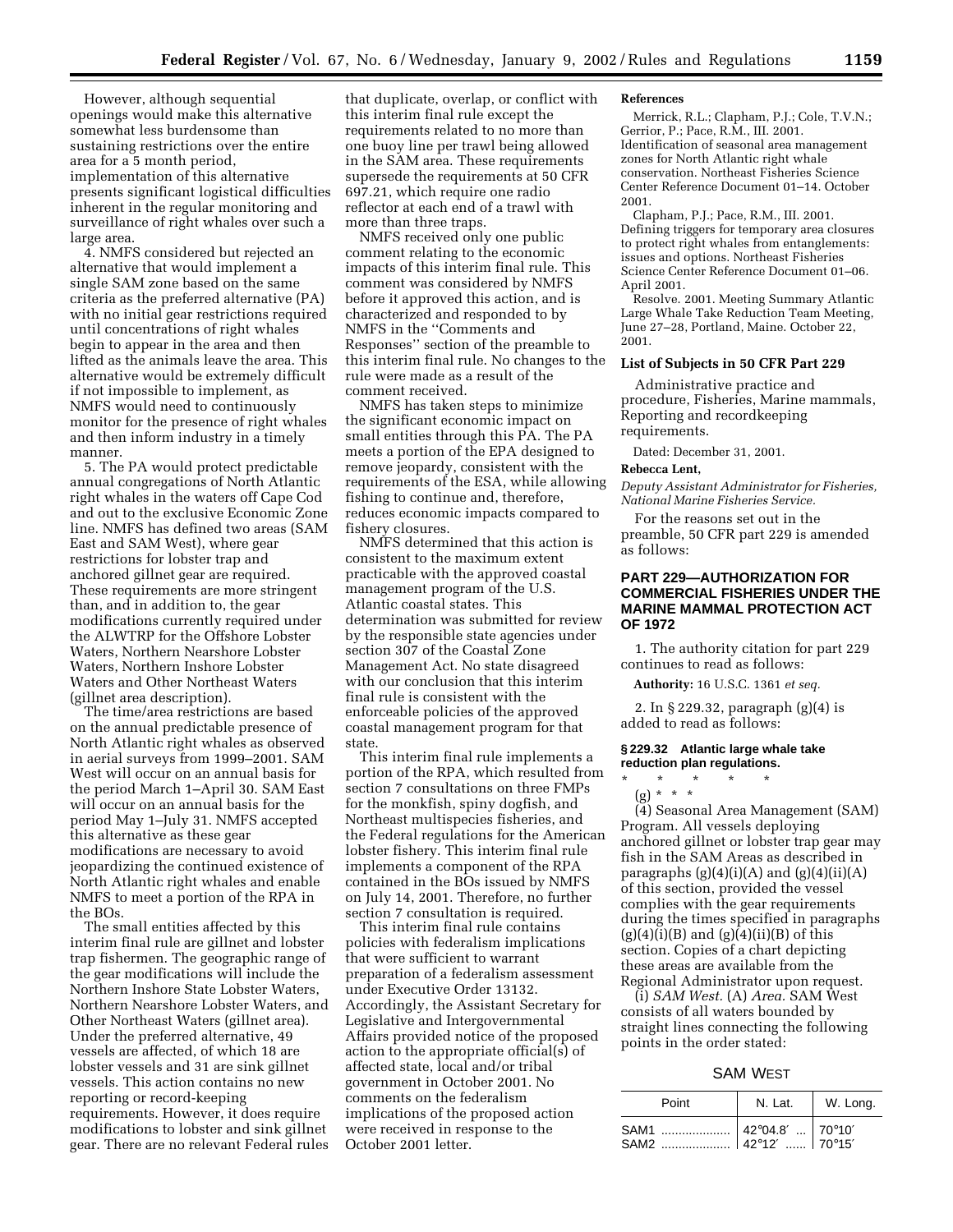However, although sequential openings would make this alternative somewhat less burdensome than sustaining restrictions over the entire area for a 5 month period, implementation of this alternative presents significant logistical difficulties inherent in the regular monitoring and surveillance of right whales over such a large area.

4. NMFS considered but rejected an alternative that would implement a single SAM zone based on the same criteria as the preferred alternative (PA) with no initial gear restrictions required until concentrations of right whales begin to appear in the area and then lifted as the animals leave the area. This alternative would be extremely difficult if not impossible to implement, as NMFS would need to continuously monitor for the presence of right whales and then inform industry in a timely manner.

5. The PA would protect predictable annual congregations of North Atlantic right whales in the waters off Cape Cod and out to the exclusive Economic Zone line. NMFS has defined two areas (SAM East and SAM West), where gear restrictions for lobster trap and anchored gillnet gear are required. These requirements are more stringent than, and in addition to, the gear modifications currently required under the ALWTRP for the Offshore Lobster Waters, Northern Nearshore Lobster Waters, Northern Inshore Lobster Waters and Other Northeast Waters (gillnet area description).

The time/area restrictions are based on the annual predictable presence of North Atlantic right whales as observed in aerial surveys from 1999–2001. SAM West will occur on an annual basis for the period March 1–April 30. SAM East will occur on an annual basis for the period May 1–July 31. NMFS accepted this alternative as these gear modifications are necessary to avoid jeopardizing the continued existence of North Atlantic right whales and enable NMFS to meet a portion of the RPA in the BOs.

The small entities affected by this interim final rule are gillnet and lobster trap fishermen. The geographic range of the gear modifications will include the Northern Inshore State Lobster Waters, Northern Nearshore Lobster Waters, and Other Northeast Waters (gillnet area). Under the preferred alternative, 49 vessels are affected, of which 18 are lobster vessels and 31 are sink gillnet vessels. This action contains no new reporting or record-keeping requirements. However, it does require modifications to lobster and sink gillnet gear. There are no relevant Federal rules

that duplicate, overlap, or conflict with this interim final rule except the requirements related to no more than one buoy line per trawl being allowed in the SAM area. These requirements supersede the requirements at 50 CFR 697.21, which require one radio reflector at each end of a trawl with more than three traps.

NMFS received only one public comment relating to the economic impacts of this interim final rule. This comment was considered by NMFS before it approved this action, and is characterized and responded to by NMFS in the ''Comments and Responses'' section of the preamble to this interim final rule. No changes to the rule were made as a result of the comment received.

NMFS has taken steps to minimize the significant economic impact on small entities through this PA. The PA meets a portion of the EPA designed to remove jeopardy, consistent with the requirements of the ESA, while allowing fishing to continue and, therefore, reduces economic impacts compared to fishery closures.

NMFS determined that this action is consistent to the maximum extent practicable with the approved coastal management program of the U.S. Atlantic coastal states. This determination was submitted for review by the responsible state agencies under section 307 of the Coastal Zone Management Act. No state disagreed with our conclusion that this interim final rule is consistent with the enforceable policies of the approved coastal management program for that state.

This interim final rule implements a portion of the RPA, which resulted from section 7 consultations on three FMPs for the monkfish, spiny dogfish, and Northeast multispecies fisheries, and the Federal regulations for the American lobster fishery. This interim final rule implements a component of the RPA contained in the BOs issued by NMFS on July 14, 2001. Therefore, no further section 7 consultation is required.

This interim final rule contains policies with federalism implications that were sufficient to warrant preparation of a federalism assessment under Executive Order 13132. Accordingly, the Assistant Secretary for Legislative and Intergovernmental Affairs provided notice of the proposed action to the appropriate official(s) of affected state, local and/or tribal government in October 2001. No comments on the federalism implications of the proposed action were received in response to the October 2001 letter.

#### **References**

Merrick, R.L.; Clapham, P.J.; Cole, T.V.N.; Gerrior, P.; Pace, R.M., III. 2001. Identification of seasonal area management zones for North Atlantic right whale conservation. Northeast Fisheries Science Center Reference Document 01–14. October 2001.

Clapham, P.J.; Pace, R.M., III. 2001. Defining triggers for temporary area closures to protect right whales from entanglements: issues and options. Northeast Fisheries Science Center Reference Document 01–06. April 2001.

Resolve. 2001. Meeting Summary Atlantic Large Whale Take Reduction Team Meeting, June 27–28, Portland, Maine. October 22, 2001.

# **List of Subjects in 50 CFR Part 229**

Administrative practice and procedure, Fisheries, Marine mammals, Reporting and recordkeeping requirements.

Dated: December 31, 2001.

#### **Rebecca Lent,**

*Deputy Assistant Administrator for Fisheries, National Marine Fisheries Service.*

For the reasons set out in the preamble, 50 CFR part 229 is amended as follows:

# **PART 229—AUTHORIZATION FOR COMMERCIAL FISHERIES UNDER THE MARINE MAMMAL PROTECTION ACT OF 1972**

1. The authority citation for part 229 continues to read as follows:

**Authority:** 16 U.S.C. 1361 *et seq.*

2. In § 229.32, paragraph (g)(4) is added to read as follows:

#### **§ 229.32 Atlantic large whale take reduction plan regulations.**

\* \* \* \* \* (g) \* \* \*

(4) Seasonal Area Management (SAM) Program. All vessels deploying anchored gillnet or lobster trap gear may fish in the SAM Areas as described in paragraphs  $(g)(4)(i)(A)$  and  $(g)(4)(ii)(A)$ of this section, provided the vessel complies with the gear requirements during the times specified in paragraphs  $(g)(4)(i)(B)$  and  $(g)(4)(ii)(B)$  of this section. Copies of a chart depicting these areas are available from the Regional Administrator upon request.

(i) *SAM West.* (A) *Area.* SAM West consists of all waters bounded by straight lines connecting the following points in the order stated:

### SAM WEST

| Point                                          | N. Lat. | W. Long. |
|------------------------------------------------|---------|----------|
| SAM1  42°04.8'  70°10'<br>SAM2  42°12'  70°15' |         |          |